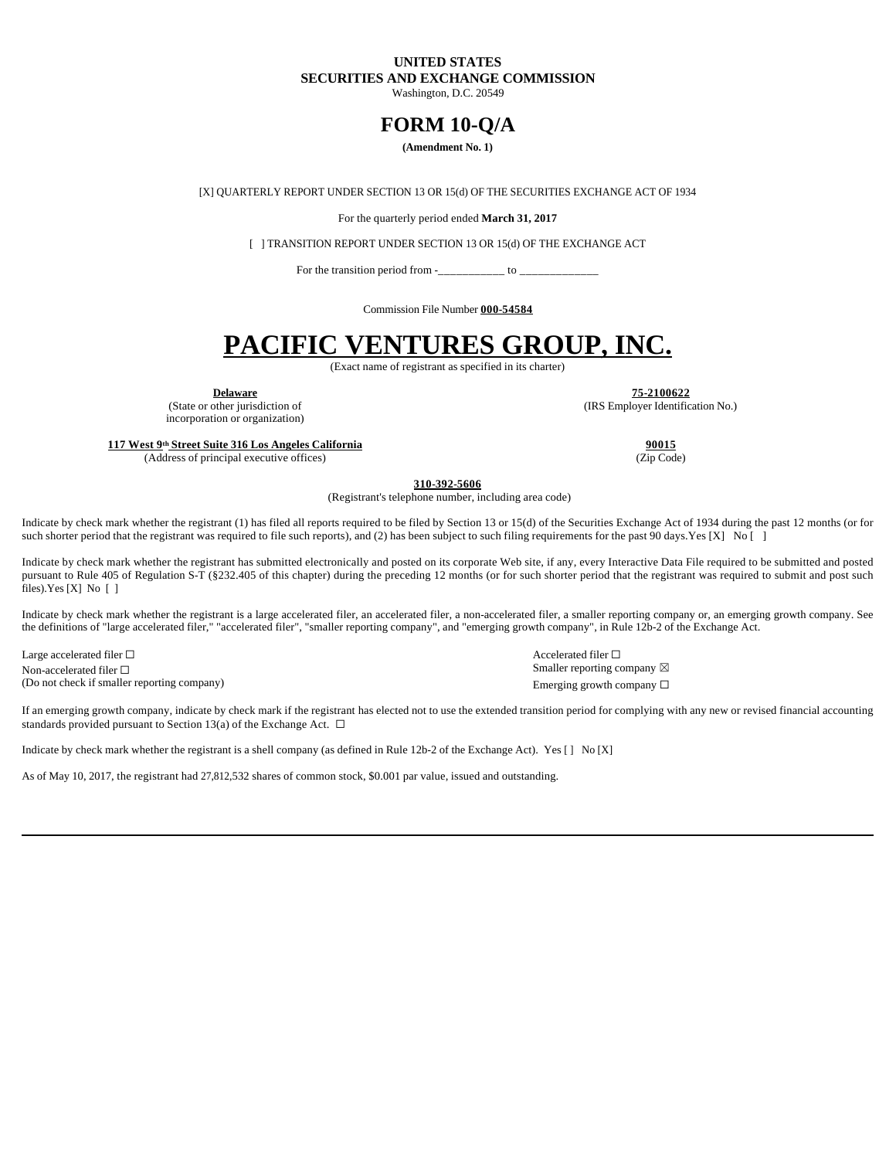# **UNITED STATES SECURITIES AND EXCHANGE COMMISSION**

Washington, D.C. 20549

# **FORM 10-Q/A**

**(Amendment No. 1)**

[X] QUARTERLY REPORT UNDER SECTION 13 OR 15(d) OF THE SECURITIES EXCHANGE ACT OF 1934

For the quarterly period ended **March 31, 2017**

[ ] TRANSITION REPORT UNDER SECTION 13 OR 15(d) OF THE EXCHANGE ACT

For the transition period from -\_\_\_\_\_\_\_\_\_\_\_ to \_\_\_\_\_\_\_\_\_\_\_\_\_

Commission File Number **000-54584**

# **PACIFIC VENTURES GROUP, INC.**

(Exact name of registrant as specified in its charter)

incorporation or organization)

**Delaware 75-2100622** (State or other jurisdiction of (IRS Employer Identification No.)

**117 West 9th Street Suite 316 Los Angeles California 90015**

(Address of principal executive offices) (Zip Code)

**310-392-5606**

(Registrant's telephone number, including area code)

Indicate by check mark whether the registrant (1) has filed all reports required to be filed by Section 13 or 15(d) of the Securities Exchange Act of 1934 during the past 12 months (or for such shorter period that the registrant was required to file such reports), and (2) has been subject to such filing requirements for the past 90 days.Yes [X] No []

Indicate by check mark whether the registrant has submitted electronically and posted on its corporate Web site, if any, every Interactive Data File required to be submitted and posted pursuant to Rule 405 of Regulation S-T (§232.405 of this chapter) during the preceding 12 months (or for such shorter period that the registrant was required to submit and post such  $\hat{f}$ iles).Yes [X] No []

Indicate by check mark whether the registrant is a large accelerated filer, an accelerated filer, a non-accelerated filer, a smaller reporting company or, an emerging growth company. See the definitions of "large accelerated filer," "accelerated filer", "smaller reporting company", and "emerging growth company", in Rule 12b-2 of the Exchange Act.

Large accelerated filer □ Accelerated filer □ Non-accelerated filer □ states in the state of the state of the state of the Smaller reporting company ⊠ (Do not check if smaller reporting company) Emerging growth company □

If an emerging growth company, indicate by check mark if the registrant has elected not to use the extended transition period for complying with any new or revised financial accounting standards provided pursuant to Section 13(a) of the Exchange Act.  $\Box$ 

Indicate by check mark whether the registrant is a shell company (as defined in Rule 12b-2 of the Exchange Act). Yes [ ] No [X]

As of May 10, 2017, the registrant had 27,812,532 shares of common stock, \$0.001 par value, issued and outstanding.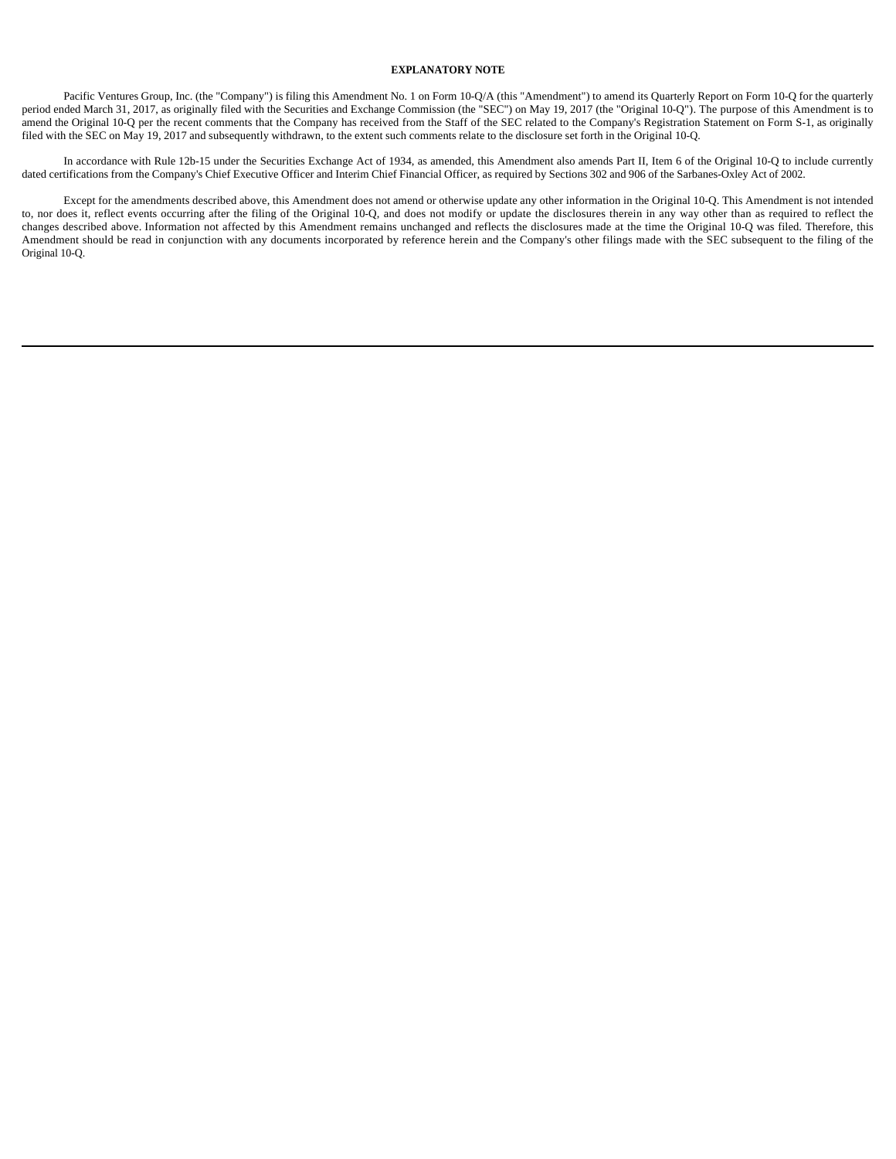## **EXPLANATORY NOTE**

Pacific Ventures Group, Inc. (the "Company") is filing this Amendment No. 1 on Form 10-Q/A (this "Amendment") to amend its Quarterly Report on Form 10-Q for the quarterly period ended March 31, 2017, as originally filed with the Securities and Exchange Commission (the "SEC") on May 19, 2017 (the "Original 10-Q"). The purpose of this Amendment is to amend the Original 10-Q per the recent comments that the Company has received from the Staff of the SEC related to the Company's Registration Statement on Form S-1, as originally filed with the SEC on May 19, 2017 and subsequently withdrawn, to the extent such comments relate to the disclosure set forth in the Original 10-Q.

In accordance with Rule 12b-15 under the Securities Exchange Act of 1934, as amended, this Amendment also amends Part II, Item 6 of the Original 10-Q to include currently dated certifications from the Company's Chief Executive Officer and Interim Chief Financial Officer, as required by Sections 302 and 906 of the Sarbanes-Oxley Act of 2002.

Except for the amendments described above, this Amendment does not amend or otherwise update any other information in the Original 10-Q. This Amendment is not intended to, nor does it, reflect events occurring after the filing of the Original 10-Q, and does not modify or update the disclosures therein in any way other than as required to reflect the changes described above. Information not affected by this Amendment remains unchanged and reflects the disclosures made at the time the Original 10-Q was filed. Therefore, this Amendment should be read in conjunction with any documents incorporated by reference herein and the Company's other filings made with the SEC subsequent to the filing of the Original 10-Q.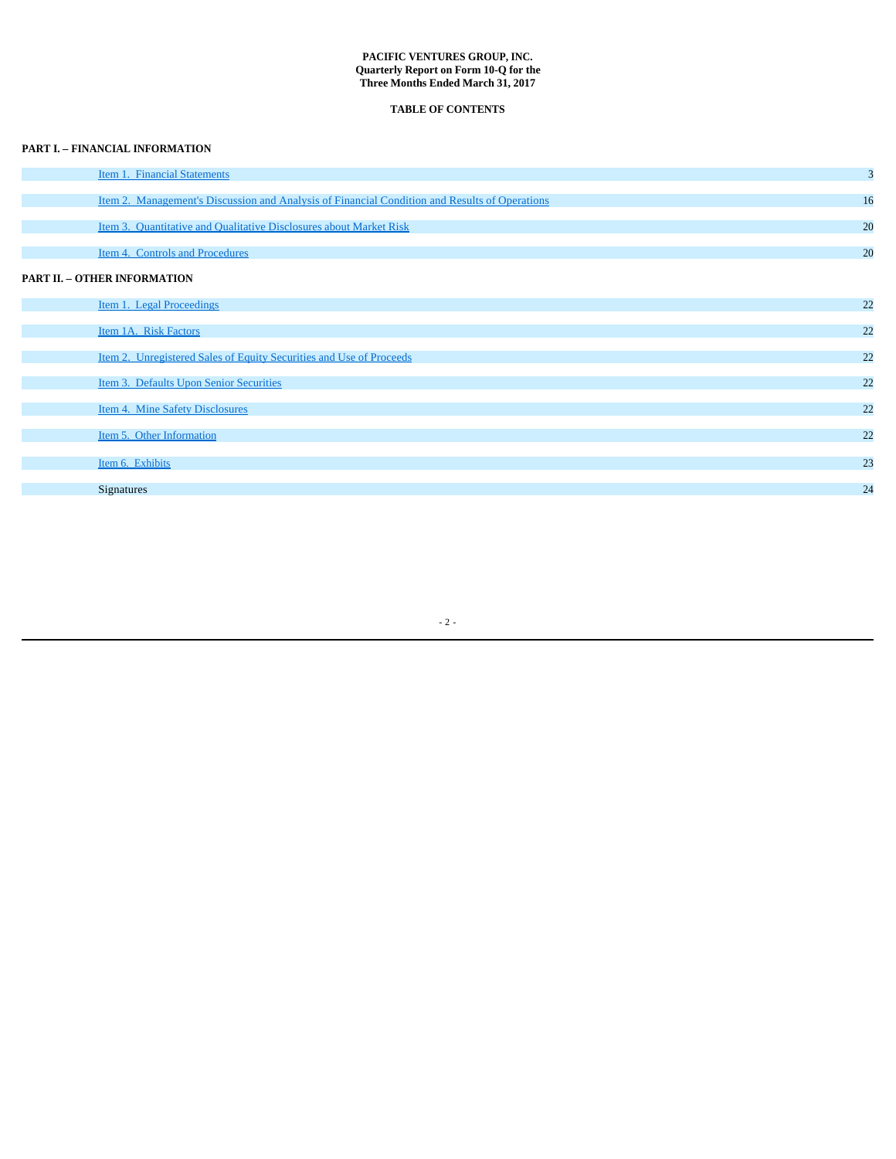#### **PACIFIC VENTURES GROUP, INC. Quarterly Report on Form 10-Q for the Three Months Ended March 31, 2017**

# **TABLE OF CONTENTS**

# **PART I. – FINANCIAL INFORMATION**

| <b>Item 1. Financial Statements</b>                                                           | 3  |
|-----------------------------------------------------------------------------------------------|----|
| Item 2. Management's Discussion and Analysis of Financial Condition and Results of Operations | 16 |
| Item 3. Quantitative and Qualitative Disclosures about Market Risk                            | 20 |
| Item 4. Controls and Procedures                                                               | 20 |
| <b>PART II. - OTHER INFORMATION</b>                                                           |    |
| Item 1. Legal Proceedings                                                                     | 22 |
| Item 1A. Risk Factors                                                                         | 22 |
| Item 2. Unregistered Sales of Equity Securities and Use of Proceeds                           | 22 |
| Item 3. Defaults Upon Senior Securities                                                       | 22 |
| Item 4. Mine Safety Disclosures                                                               | 22 |
| Item 5. Other Information                                                                     | 22 |
| Item 6. Exhibits                                                                              | 23 |
| <b>Signatures</b>                                                                             | 24 |

# - 2 -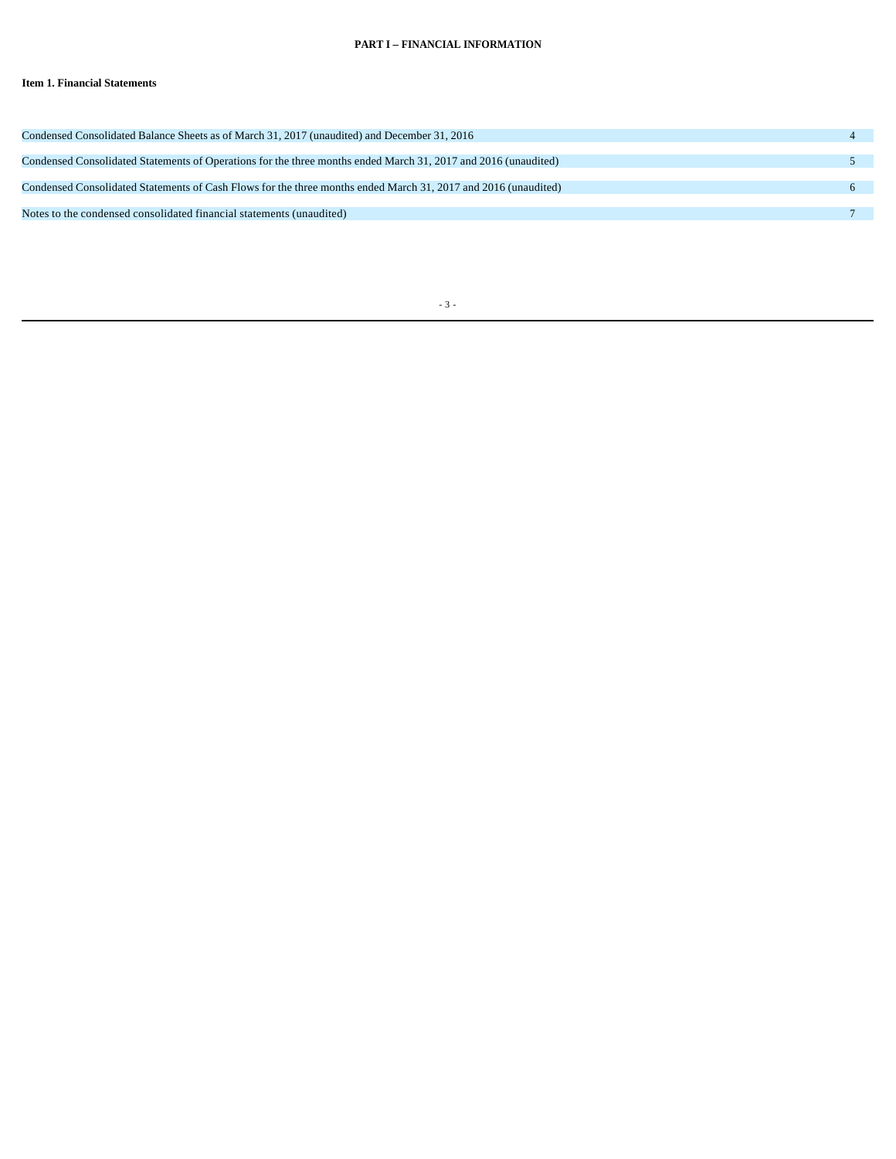# **PART I – FINANCIAL INFORMATION**

#### **Item 1. Financial Statements**

| Condensed Consolidated Balance Sheets as of March 31, 2017 (unaudited) and December 31, 2016                   |  |
|----------------------------------------------------------------------------------------------------------------|--|
| Condensed Consolidated Statements of Operations for the three months ended March 31, 2017 and 2016 (unaudited) |  |
| Condensed Consolidated Statements of Cash Flows for the three months ended March 31, 2017 and 2016 (unaudited) |  |
| Notes to the condensed consolidated financial statements (unaudited)                                           |  |

# - 3 -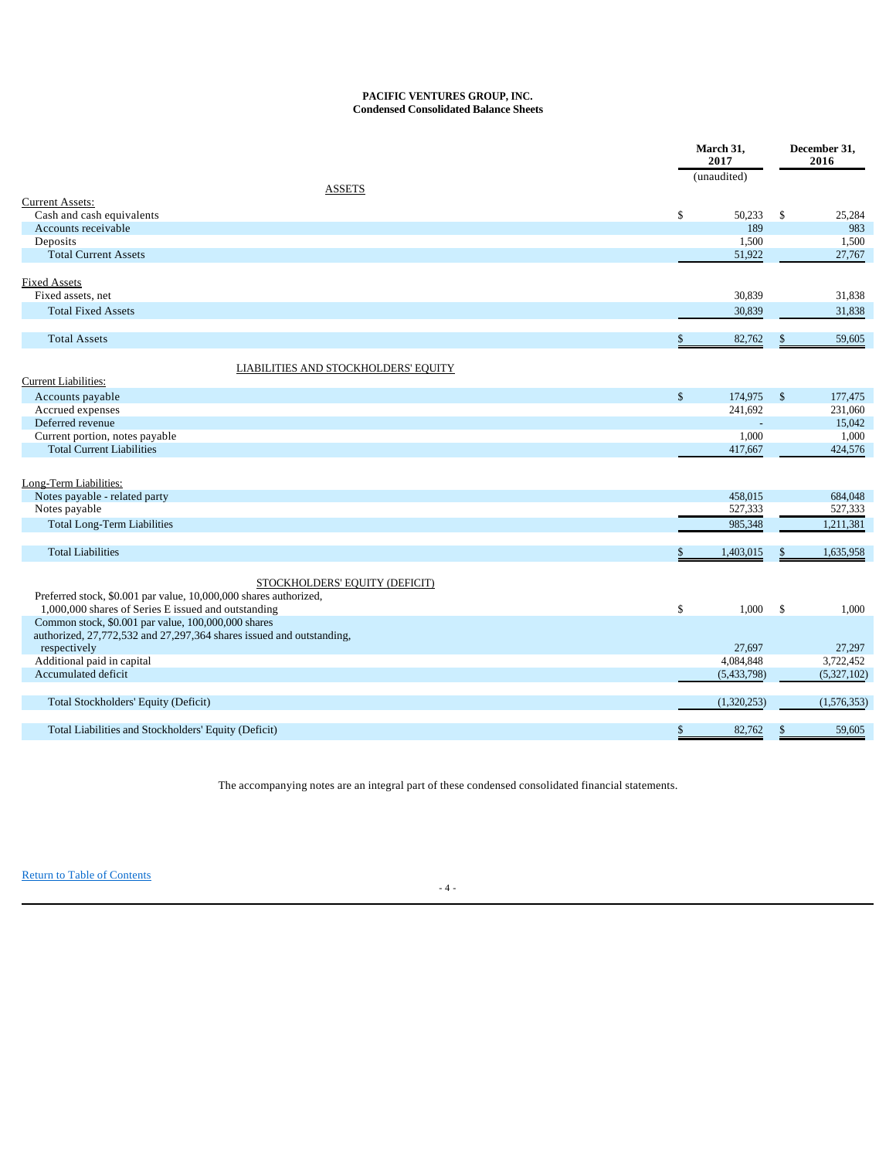## **PACIFIC VENTURES GROUP, INC. Condensed Consolidated Balance Sheets**

|                                                                                                                          | March 31,<br>2017<br>(unaudited) |             | December 31,<br>2016 |             |
|--------------------------------------------------------------------------------------------------------------------------|----------------------------------|-------------|----------------------|-------------|
| <b>ASSETS</b>                                                                                                            |                                  |             |                      |             |
| <b>Current Assets:</b>                                                                                                   |                                  |             |                      |             |
| Cash and cash equivalents                                                                                                | \$                               | 50,233      | \$                   | 25,284      |
| Accounts receivable                                                                                                      |                                  | 189         |                      | 983         |
| Deposits                                                                                                                 |                                  | 1,500       |                      | 1,500       |
| <b>Total Current Assets</b>                                                                                              |                                  | 51,922      |                      | 27,767      |
| <b>Fixed Assets</b>                                                                                                      |                                  |             |                      |             |
| Fixed assets, net                                                                                                        |                                  | 30,839      |                      | 31,838      |
| <b>Total Fixed Assets</b>                                                                                                |                                  | 30,839      |                      | 31,838      |
| <b>Total Assets</b>                                                                                                      | \$                               | 82,762      | \$                   | 59,605      |
| LIABILITIES AND STOCKHOLDERS' EQUITY                                                                                     |                                  |             |                      |             |
| <b>Current Liabilities:</b>                                                                                              |                                  |             |                      |             |
| Accounts payable                                                                                                         | $\mathbb{S}$                     | 174,975     | $\mathcal{S}$        | 177,475     |
| Accrued expenses                                                                                                         |                                  | 241,692     |                      | 231,060     |
| Deferred revenue                                                                                                         |                                  |             |                      | 15,042      |
| Current portion, notes payable                                                                                           |                                  | 1,000       |                      | 1,000       |
| <b>Total Current Liabilities</b>                                                                                         |                                  | 417,667     |                      | 424,576     |
| Long-Term Liabilities:                                                                                                   |                                  |             |                      |             |
| Notes payable - related party                                                                                            |                                  | 458,015     |                      | 684,048     |
| Notes payable                                                                                                            |                                  | 527,333     |                      | 527,333     |
| <b>Total Long-Term Liabilities</b>                                                                                       |                                  | 985,348     |                      | 1,211,381   |
|                                                                                                                          |                                  |             |                      |             |
| <b>Total Liabilities</b>                                                                                                 |                                  | 1,403,015   | $\mathbb{S}$         | 1,635,958   |
| STOCKHOLDERS' EQUITY (DEFICIT)                                                                                           |                                  |             |                      |             |
| Preferred stock, \$0.001 par value, 10,000,000 shares authorized,<br>1,000,000 shares of Series E issued and outstanding | \$                               | 1,000       | $\mathbb{S}$         | 1,000       |
| Common stock, \$0.001 par value, 100,000,000 shares                                                                      |                                  |             |                      |             |
| authorized, 27,772,532 and 27,297,364 shares issued and outstanding,                                                     |                                  |             |                      |             |
| respectively                                                                                                             |                                  | 27,697      |                      | 27,297      |
| Additional paid in capital                                                                                               |                                  | 4,084,848   |                      | 3,722,452   |
| Accumulated deficit                                                                                                      |                                  | (5,433,798) |                      | (5,327,102) |
| Total Stockholders' Equity (Deficit)                                                                                     |                                  | (1,320,253) |                      | (1,576,353) |
| Total Liabilities and Stockholders' Equity (Deficit)                                                                     | \$                               | 82,762      | \$                   | 59,605      |

The accompanying notes are an integral part of these condensed consolidated financial statements.

Return to Table of Contents

- 4 -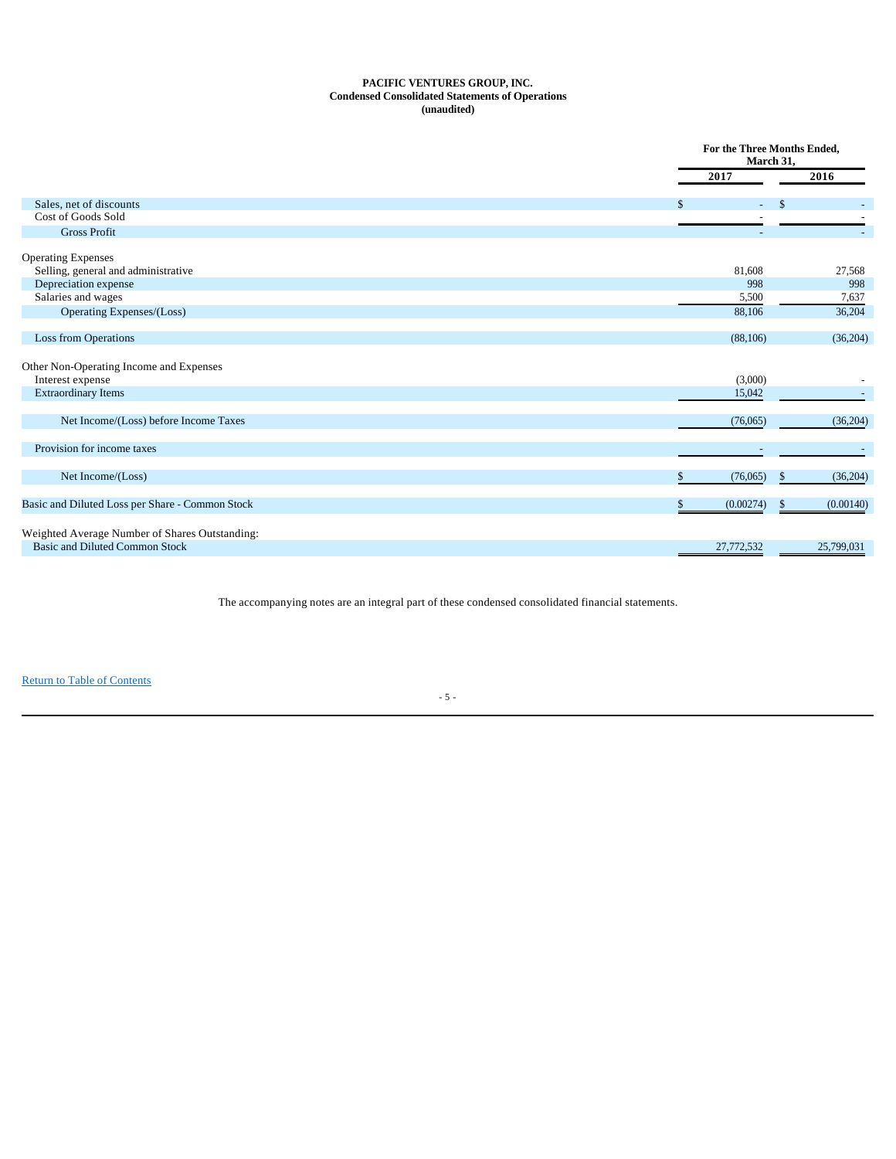# **PACIFIC VENTURES GROUP, INC. Condensed Consolidated Statements of Operations (unaudited)**

|                                                 | For the Three Months Ended,<br>March 31, |                      |
|-------------------------------------------------|------------------------------------------|----------------------|
|                                                 | 2017                                     | 2016                 |
| Sales, net of discounts                         | $\mathcal{S}$<br>$\Delta \sim 10^4$      | \$                   |
| Cost of Goods Sold                              |                                          |                      |
| <b>Gross Profit</b>                             |                                          |                      |
| <b>Operating Expenses</b>                       |                                          |                      |
| Selling, general and administrative             | 81.608                                   | 27,568               |
| Depreciation expense                            | 998                                      | 998                  |
| Salaries and wages                              | 5,500                                    | 7,637                |
| Operating Expenses/(Loss)                       | 88,106                                   | 36,204               |
| <b>Loss from Operations</b>                     | (88, 106)                                | (36,204)             |
| Other Non-Operating Income and Expenses         |                                          |                      |
| Interest expense                                | (3,000)                                  |                      |
| <b>Extraordinary Items</b>                      | 15,042                                   |                      |
| Net Income/(Loss) before Income Taxes           | (76,065)                                 | (36,204)             |
| Provision for income taxes                      |                                          |                      |
| Net Income/(Loss)                               | \$.<br>(76,065)                          | (36,204)<br><b>S</b> |
| Basic and Diluted Loss per Share - Common Stock | (0.00274)                                | (0.00140)<br>\$      |
| Weighted Average Number of Shares Outstanding:  |                                          |                      |
| <b>Basic and Diluted Common Stock</b>           | 27,772,532                               | 25,799,031           |

The accompanying notes are an integral part of these condensed consolidated financial statements.

Return to Table of Contents

# - 5 -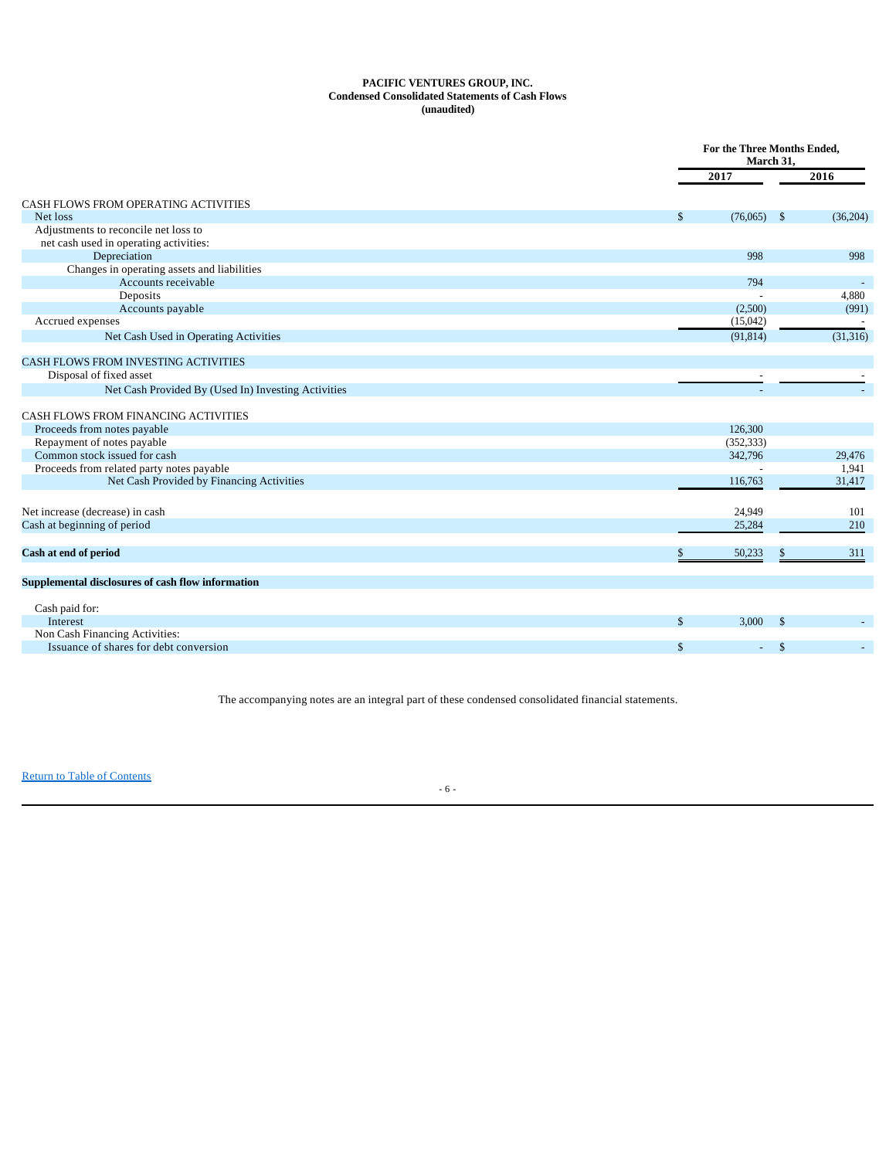#### **PACIFIC VENTURES GROUP, INC. Condensed Consolidated Statements of Cash Flows (unaudited)**

|                                                     |                          | For the Three Months Ended,<br>March 31, |
|-----------------------------------------------------|--------------------------|------------------------------------------|
|                                                     | 2017                     | 2016                                     |
| CASH FLOWS FROM OPERATING ACTIVITIES                |                          |                                          |
| Net loss                                            | $\mathbb{S}$<br>(76,065) | $\mathcal{S}$<br>(36,204)                |
| Adjustments to reconcile net loss to                |                          |                                          |
| net cash used in operating activities:              |                          |                                          |
| Depreciation                                        | 998                      | 998                                      |
| Changes in operating assets and liabilities         |                          |                                          |
| Accounts receivable                                 | 794                      | $\sim$                                   |
| Deposits                                            |                          | 4,880                                    |
| Accounts payable                                    | (2,500)                  | (991)                                    |
| Accrued expenses                                    | (15,042)                 |                                          |
| Net Cash Used in Operating Activities               | (91, 814)                | (31,316)                                 |
| CASH FLOWS FROM INVESTING ACTIVITIES                |                          |                                          |
| Disposal of fixed asset                             |                          |                                          |
| Net Cash Provided By (Used In) Investing Activities |                          |                                          |
| CASH FLOWS FROM FINANCING ACTIVITIES                |                          |                                          |
| Proceeds from notes payable                         | 126,300                  |                                          |
| Repayment of notes payable                          | (352, 333)               |                                          |
| Common stock issued for cash                        | 342,796                  | 29,476                                   |
| Proceeds from related party notes payable           |                          | 1,941                                    |
| Net Cash Provided by Financing Activities           | 116,763                  | 31,417                                   |
| Net increase (decrease) in cash                     | 24.949                   | 101                                      |
| Cash at beginning of period                         | 25,284                   | 210                                      |
| Cash at end of period                               | 50,233                   | 311                                      |
|                                                     |                          |                                          |
| Supplemental disclosures of cash flow information   |                          |                                          |
| Cash paid for:                                      |                          |                                          |
| Interest                                            | $\mathbb{S}$<br>3.000    | $\mathcal{S}$                            |
| Non Cash Financing Activities:                      |                          |                                          |
| Issuance of shares for debt conversion              | $\mathcal{S}$            | $\mathcal{S}$<br>$\sim 100$<br>$\sim$    |
|                                                     |                          |                                          |

The accompanying notes are an integral part of these condensed consolidated financial statements.

Return to Table of Contents

- 6 -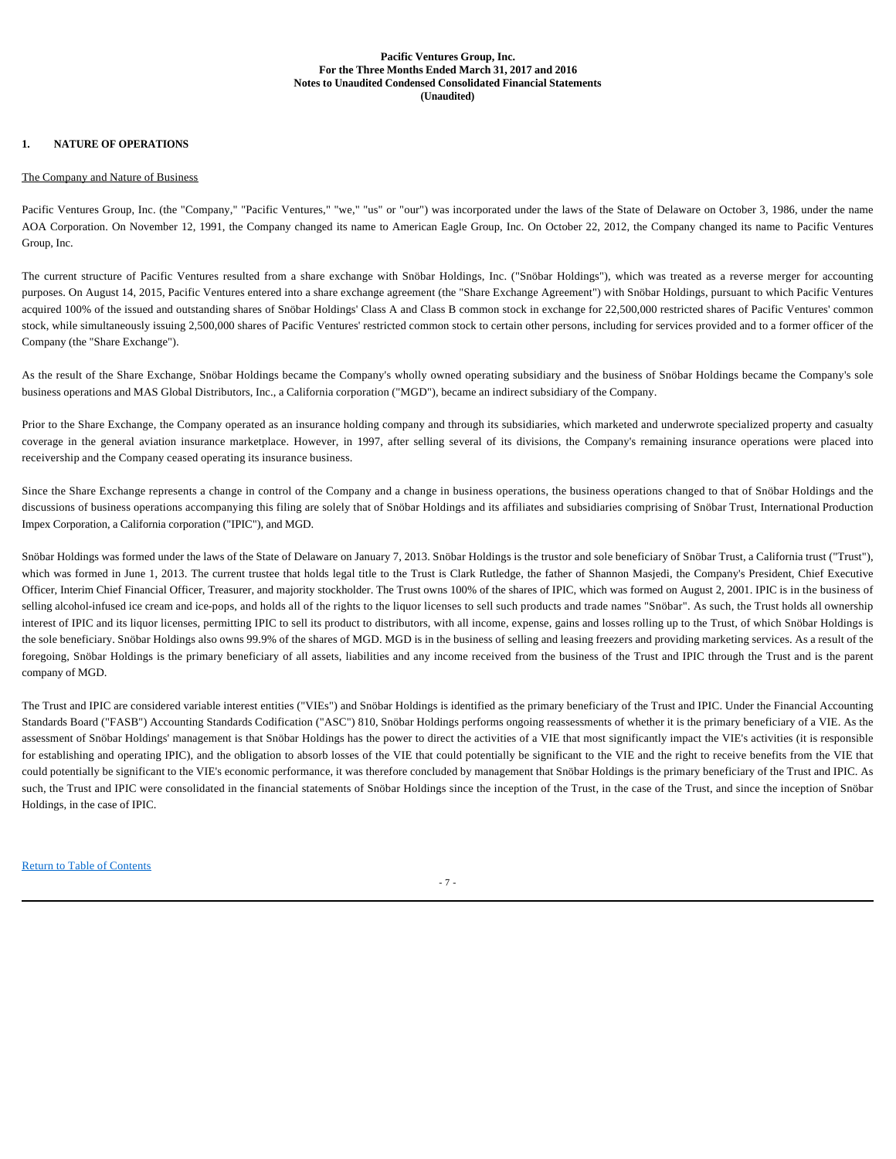# **1. NATURE OF OPERATIONS**

#### The Company and Nature of Business

Pacific Ventures Group, Inc. (the "Company," "Pacific Ventures," "we," "us" or "our") was incorporated under the laws of the State of Delaware on October 3, 1986, under the name AOA Corporation. On November 12, 1991, the Company changed its name to American Eagle Group, Inc. On October 22, 2012, the Company changed its name to Pacific Ventures Group, Inc.

The current structure of Pacific Ventures resulted from a share exchange with Snöbar Holdings, Inc. ("Snöbar Holdings"), which was treated as a reverse merger for accounting purposes. On August 14, 2015, Pacific Ventures entered into a share exchange agreement (the "Share Exchange Agreement") with Snöbar Holdings, pursuant to which Pacific Ventures acquired 100% of the issued and outstanding shares of Snöbar Holdings' Class A and Class B common stock in exchange for 22,500,000 restricted shares of Pacific Ventures' common stock, while simultaneously issuing 2,500,000 shares of Pacific Ventures' restricted common stock to certain other persons, including for services provided and to a former officer of the Company (the "Share Exchange").

As the result of the Share Exchange, Snöbar Holdings became the Company's wholly owned operating subsidiary and the business of Snöbar Holdings became the Company's sole business operations and MAS Global Distributors, Inc., a California corporation ("MGD"), became an indirect subsidiary of the Company.

Prior to the Share Exchange, the Company operated as an insurance holding company and through its subsidiaries, which marketed and underwrote specialized property and casualty coverage in the general aviation insurance marketplace. However, in 1997, after selling several of its divisions, the Company's remaining insurance operations were placed into receivership and the Company ceased operating its insurance business.

Since the Share Exchange represents a change in control of the Company and a change in business operations, the business operations changed to that of Snöbar Holdings and the discussions of business operations accompanying this filing are solely that of Snöbar Holdings and its affiliates and subsidiaries comprising of Snöbar Trust, International Production Impex Corporation, a California corporation ("IPIC"), and MGD.

Snöbar Holdings was formed under the laws of the State of Delaware on January 7, 2013. Snöbar Holdings is the trustor and sole beneficiary of Snöbar Trust, a California trust ("Trust"), which was formed in June 1, 2013. The current trustee that holds legal title to the Trust is Clark Rutledge, the father of Shannon Masjedi, the Company's President, Chief Executive Officer, Interim Chief Financial Officer, Treasurer, and majority stockholder. The Trust owns 100% of the shares of IPIC, which was formed on August 2, 2001. IPIC is in the business of selling alcohol-infused ice cream and ice-pops, and holds all of the rights to the liquor licenses to sell such products and trade names "Snöbar". As such, the Trust holds all ownership interest of IPIC and its liquor licenses, permitting IPIC to sell its product to distributors, with all income, expense, gains and losses rolling up to the Trust, of which Snöbar Holdings is the sole beneficiary. Snöbar Holdings also owns 99.9% of the shares of MGD. MGD is in the business of selling and leasing freezers and providing marketing services. As a result of the foregoing, Snöbar Holdings is the primary beneficiary of all assets, liabilities and any income received from the business of the Trust and IPIC through the Trust and is the parent company of MGD.

The Trust and IPIC are considered variable interest entities ("VIEs") and Snöbar Holdings is identified as the primary beneficiary of the Trust and IPIC. Under the Financial Accounting Standards Board ("FASB") Accounting Standards Codification ("ASC") 810, Snöbar Holdings performs ongoing reassessments of whether it is the primary beneficiary of a VIE. As the assessment of Snöbar Holdings' management is that Snöbar Holdings has the power to direct the activities of a VIE that most significantly impact the VIE's activities (it is responsible for establishing and operating IPIC), and the obligation to absorb losses of the VIE that could potentially be significant to the VIE and the right to receive benefits from the VIE that could potentially be significant to the VIE's economic performance, it was therefore concluded by management that Snöbar Holdings is the primary beneficiary of the Trust and IPIC. As such, the Trust and IPIC were consolidated in the financial statements of Snöbar Holdings since the inception of the Trust, in the case of the Trust, and since the inception of Snöbar Holdings, in the case of IPIC.

- 7 -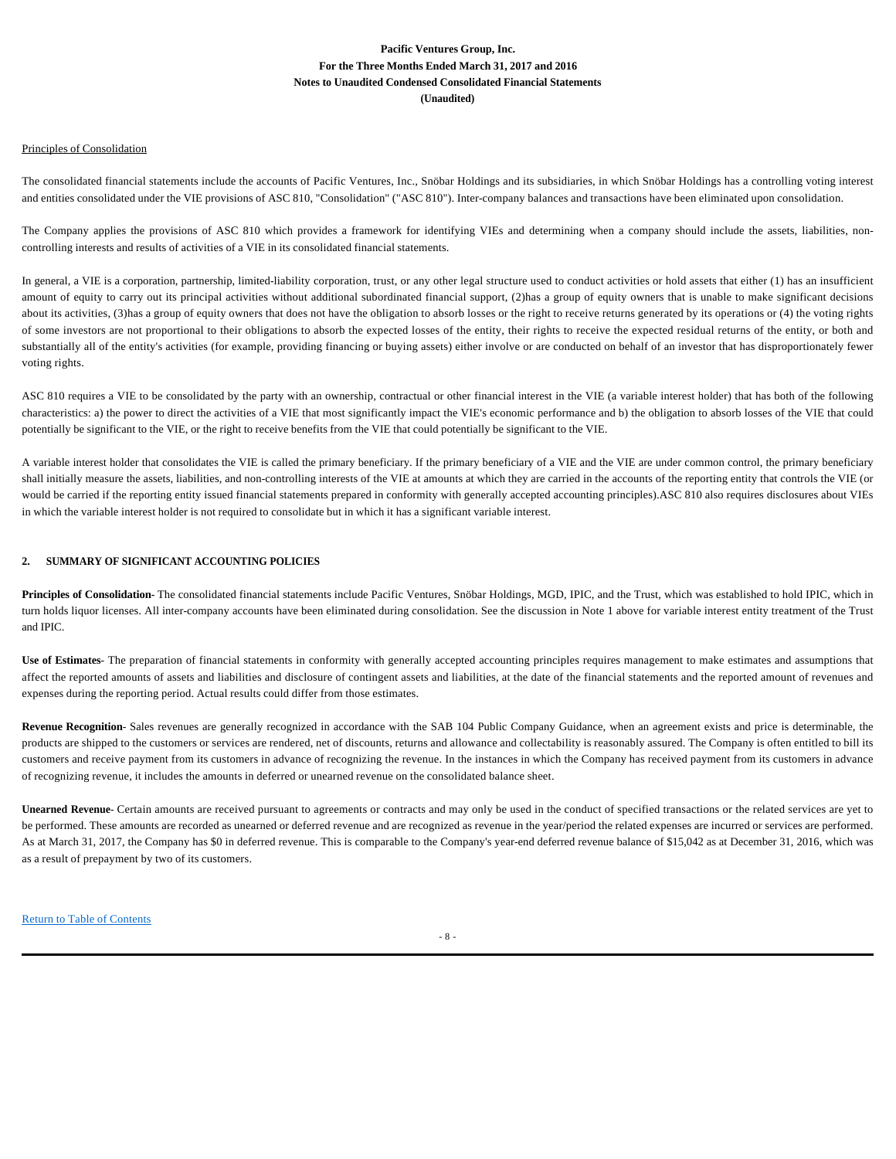## Principles of Consolidation

The consolidated financial statements include the accounts of Pacific Ventures, Inc., Snöbar Holdings and its subsidiaries, in which Snöbar Holdings has a controlling voting interest and entities consolidated under the VIE provisions of ASC 810, "Consolidation" ("ASC 810"). Inter-company balances and transactions have been eliminated upon consolidation.

The Company applies the provisions of ASC 810 which provides a framework for identifying VIEs and determining when a company should include the assets, liabilities, noncontrolling interests and results of activities of a VIE in its consolidated financial statements.

In general, a VIE is a corporation, partnership, limited-liability corporation, trust, or any other legal structure used to conduct activities or hold assets that either (1) has an insufficient amount of equity to carry out its principal activities without additional subordinated financial support, (2)has a group of equity owners that is unable to make significant decisions about its activities, (3)has a group of equity owners that does not have the obligation to absorb losses or the right to receive returns generated by its operations or (4) the voting rights of some investors are not proportional to their obligations to absorb the expected losses of the entity, their rights to receive the expected residual returns of the entity, or both and substantially all of the entity's activities (for example, providing financing or buying assets) either involve or are conducted on behalf of an investor that has disproportionately fewer voting rights.

ASC 810 requires a VIE to be consolidated by the party with an ownership, contractual or other financial interest in the VIE (a variable interest holder) that has both of the following characteristics: a) the power to direct the activities of a VIE that most significantly impact the VIE's economic performance and b) the obligation to absorb losses of the VIE that could potentially be significant to the VIE, or the right to receive benefits from the VIE that could potentially be significant to the VIE.

A variable interest holder that consolidates the VIE is called the primary beneficiary. If the primary beneficiary of a VIE and the VIE are under common control, the primary beneficiary shall initially measure the assets, liabilities, and non-controlling interests of the VIE at amounts at which they are carried in the accounts of the reporting entity that controls the VIE (or would be carried if the reporting entity issued financial statements prepared in conformity with generally accepted accounting principles).ASC 810 also requires disclosures about VIEs in which the variable interest holder is not required to consolidate but in which it has a significant variable interest.

# **2. SUMMARY OF SIGNIFICANT ACCOUNTING POLICIES**

**Principles of Consolidation-** The consolidated financial statements include Pacific Ventures, Snöbar Holdings, MGD, IPIC, and the Trust, which was established to hold IPIC, which in turn holds liquor licenses. All inter-company accounts have been eliminated during consolidation. See the discussion in Note 1 above for variable interest entity treatment of the Trust and IPIC.

**Use of Estimates**- The preparation of financial statements in conformity with generally accepted accounting principles requires management to make estimates and assumptions that affect the reported amounts of assets and liabilities and disclosure of contingent assets and liabilities, at the date of the financial statements and the reported amount of revenues and expenses during the reporting period. Actual results could differ from those estimates.

Revenue Recognition- Sales revenues are generally recognized in accordance with the SAB 104 Public Company Guidance, when an agreement exists and price is determinable, the products are shipped to the customers or services are rendered, net of discounts, returns and allowance and collectability is reasonably assured. The Company is often entitled to bill its customers and receive payment from its customers in advance of recognizing the revenue. In the instances in which the Company has received payment from its customers in advance of recognizing revenue, it includes the amounts in deferred or unearned revenue on the consolidated balance sheet.

**Unearned Revenue**- Certain amounts are received pursuant to agreements or contracts and may only be used in the conduct of specified transactions or the related services are yet to be performed. These amounts are recorded as unearned or deferred revenue and are recognized as revenue in the year/period the related expenses are incurred or services are performed. As at March 31, 2017, the Company has \$0 in deferred revenue. This is comparable to the Company's year-end deferred revenue balance of \$15,042 as at December 31, 2016, which was as a result of prepayment by two of its customers.

Return to Table of Contents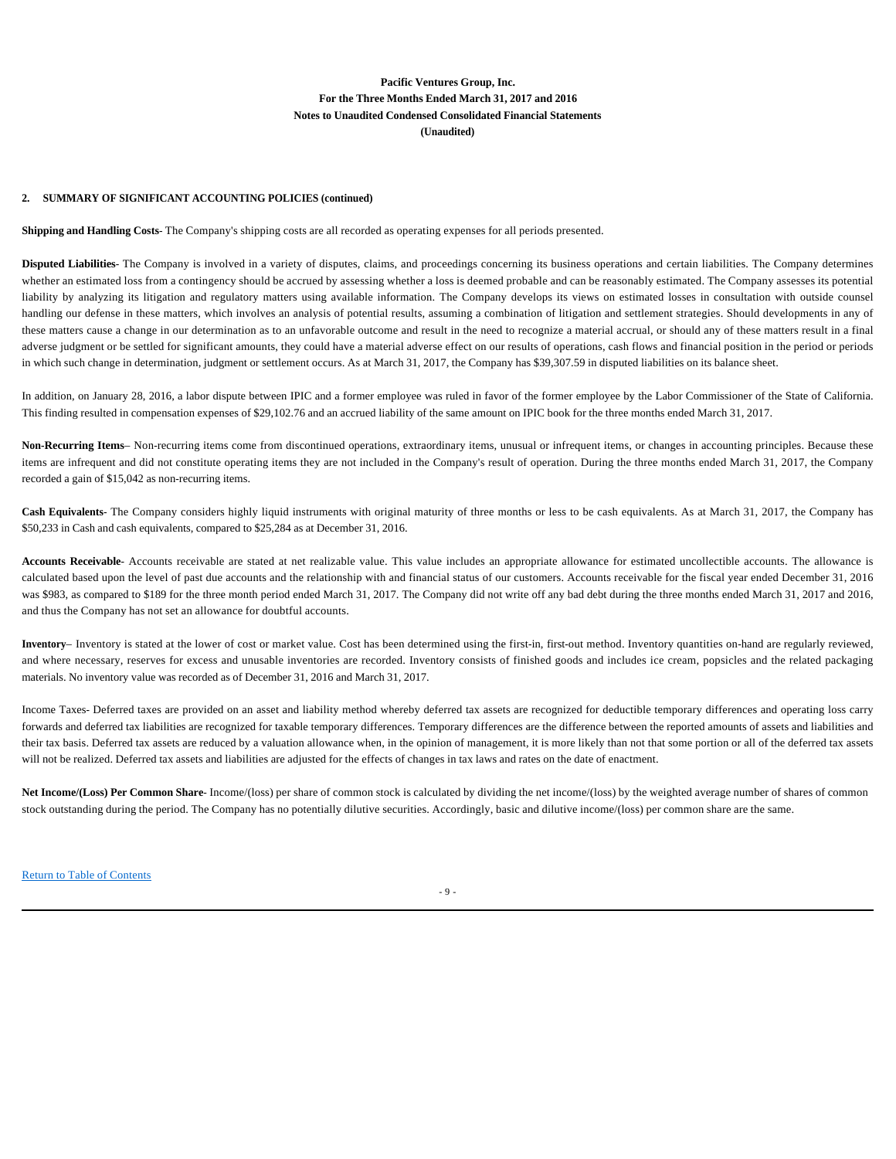## **2. SUMMARY OF SIGNIFICANT ACCOUNTING POLICIES (continued)**

**Shipping and Handling Costs**- The Company's shipping costs are all recorded as operating expenses for all periods presented.

**Disputed Liabilities**- The Company is involved in a variety of disputes, claims, and proceedings concerning its business operations and certain liabilities. The Company determines whether an estimated loss from a contingency should be accrued by assessing whether a loss is deemed probable and can be reasonably estimated. The Company assesses its potential liability by analyzing its litigation and regulatory matters using available information. The Company develops its views on estimated losses in consultation with outside counsel handling our defense in these matters, which involves an analysis of potential results, assuming a combination of litigation and settlement strategies. Should developments in any of these matters cause a change in our determination as to an unfavorable outcome and result in the need to recognize a material accrual, or should any of these matters result in a final adverse judgment or be settled for significant amounts, they could have a material adverse effect on our results of operations, cash flows and financial position in the period or periods in which such change in determination, judgment or settlement occurs. As at March 31, 2017, the Company has \$39,307.59 in disputed liabilities on its balance sheet.

In addition, on January 28, 2016, a labor dispute between IPIC and a former employee was ruled in favor of the former employee by the Labor Commissioner of the State of California. This finding resulted in compensation expenses of \$29,102.76 and an accrued liability of the same amount on IPIC book for the three months ended March 31, 2017.

Non-Recurring Items- Non-recurring items come from discontinued operations, extraordinary items, unusual or infrequent items, or changes in accounting principles. Because these items are infrequent and did not constitute operating items they are not included in the Company's result of operation. During the three months ended March 31, 2017, the Company recorded a gain of \$15,042 as non-recurring items.

**Cash Equivalents**- The Company considers highly liquid instruments with original maturity of three months or less to be cash equivalents. As at March 31, 2017, the Company has \$50,233 in Cash and cash equivalents, compared to \$25,284 as at December 31, 2016.

**Accounts Receivable**- Accounts receivable are stated at net realizable value. This value includes an appropriate allowance for estimated uncollectible accounts. The allowance is calculated based upon the level of past due accounts and the relationship with and financial status of our customers. Accounts receivable for the fiscal year ended December 31, 2016 was \$983, as compared to \$189 for the three month period ended March 31, 2017. The Company did not write off any bad debt during the three months ended March 31, 2017 and 2016, and thus the Company has not set an allowance for doubtful accounts.

**Inventory**– Inventory is stated at the lower of cost or market value. Cost has been determined using the first-in, first-out method. Inventory quantities on-hand are regularly reviewed, and where necessary, reserves for excess and unusable inventories are recorded. Inventory consists of finished goods and includes ice cream, popsicles and the related packaging materials. No inventory value was recorded as of December 31, 2016 and March 31, 2017.

Income Taxes- Deferred taxes are provided on an asset and liability method whereby deferred tax assets are recognized for deductible temporary differences and operating loss carry forwards and deferred tax liabilities are recognized for taxable temporary differences. Temporary differences are the difference between the reported amounts of assets and liabilities and their tax basis. Deferred tax assets are reduced by a valuation allowance when, in the opinion of management, it is more likely than not that some portion or all of the deferred tax assets will not be realized. Deferred tax assets and liabilities are adjusted for the effects of changes in tax laws and rates on the date of enactment.

Net Income/(Loss) Per Common Share- Income/(loss) per share of common stock is calculated by dividing the net income/(loss) by the weighted average number of shares of common stock outstanding during the period. The Company has no potentially dilutive securities. Accordingly, basic and dilutive income/(loss) per common share are the same.

- 9 -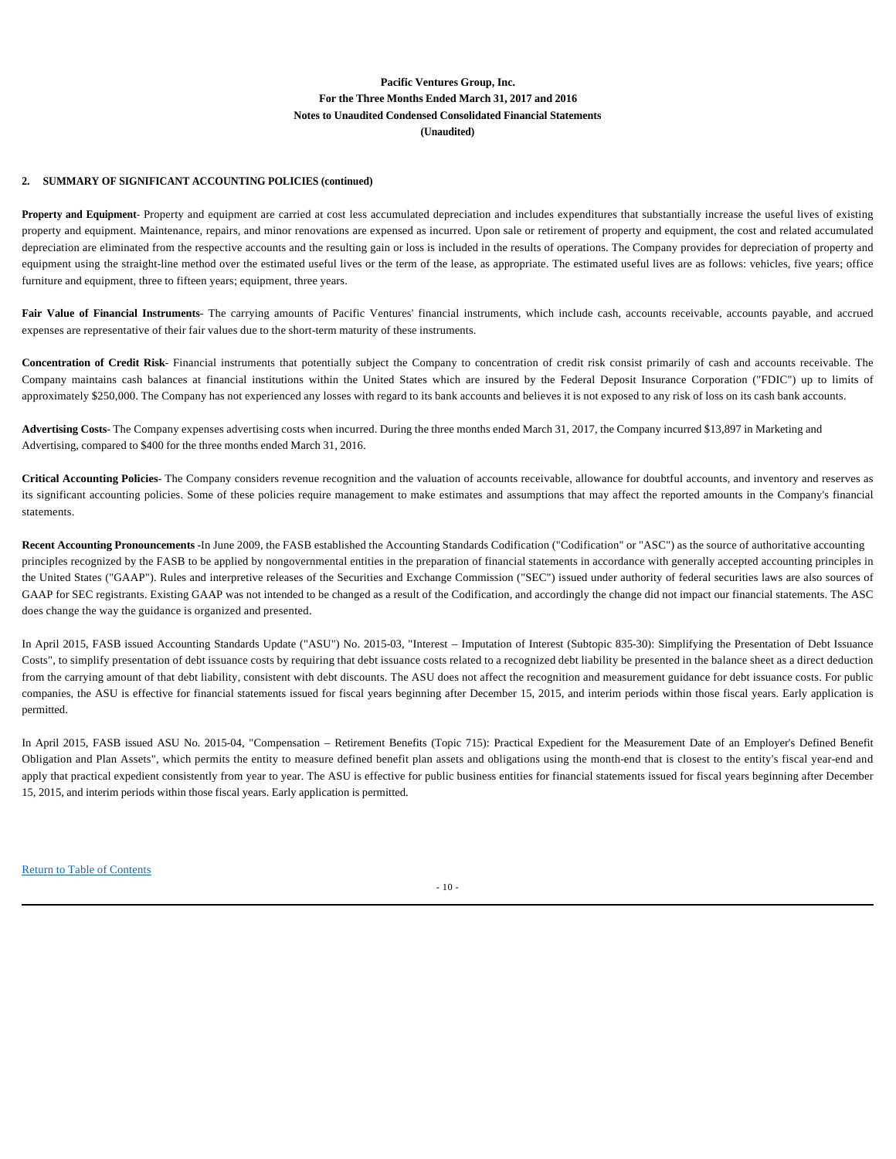# **2. SUMMARY OF SIGNIFICANT ACCOUNTING POLICIES (continued)**

Property and Equipment-Property and equipment are carried at cost less accumulated depreciation and includes expenditures that substantially increase the useful lives of existing property and equipment. Maintenance, repairs, and minor renovations are expensed as incurred. Upon sale or retirement of property and equipment, the cost and related accumulated depreciation are eliminated from the respective accounts and the resulting gain or loss is included in the results of operations. The Company provides for depreciation of property and equipment using the straight-line method over the estimated useful lives or the term of the lease, as appropriate. The estimated useful lives are as follows: vehicles, five years; office furniture and equipment, three to fifteen years; equipment, three years.

Fair Value of Financial Instruments- The carrying amounts of Pacific Ventures' financial instruments, which include cash, accounts receivable, accounts payable, and accrued expenses are representative of their fair values due to the short-term maturity of these instruments.

**Concentration of Credit Risk**- Financial instruments that potentially subject the Company to concentration of credit risk consist primarily of cash and accounts receivable. The Company maintains cash balances at financial institutions within the United States which are insured by the Federal Deposit Insurance Corporation ("FDIC") up to limits of approximately \$250,000. The Company has not experienced any losses with regard to its bank accounts and believes it is not exposed to any risk of loss on its cash bank accounts.

**Advertising Costs**- The Company expenses advertising costs when incurred. During the three months ended March 31, 2017, the Company incurred \$13,897 in Marketing and Advertising, compared to \$400 for the three months ended March 31, 2016.

**Critical Accounting Policies**- The Company considers revenue recognition and the valuation of accounts receivable, allowance for doubtful accounts, and inventory and reserves as its significant accounting policies. Some of these policies require management to make estimates and assumptions that may affect the reported amounts in the Company's financial statements.

**Recent Accounting Pronouncements -**In June 2009, the FASB established the Accounting Standards Codification ("Codification" or "ASC") as the source of authoritative accounting principles recognized by the FASB to be applied by nongovernmental entities in the preparation of financial statements in accordance with generally accepted accounting principles in the United States ("GAAP"). Rules and interpretive releases of the Securities and Exchange Commission ("SEC") issued under authority of federal securities laws are also sources of GAAP for SEC registrants. Existing GAAP was not intended to be changed as a result of the Codification, and accordingly the change did not impact our financial statements. The ASC does change the way the guidance is organized and presented.

In April 2015, FASB issued Accounting Standards Update ("ASU") No. 2015-03, "Interest – Imputation of Interest (Subtopic 835-30): Simplifying the Presentation of Debt Issuance Costs", to simplify presentation of debt issuance costs by requiring that debt issuance costs related to a recognized debt liability be presented in the balance sheet as a direct deduction from the carrying amount of that debt liability, consistent with debt discounts. The ASU does not affect the recognition and measurement guidance for debt issuance costs. For public companies, the ASU is effective for financial statements issued for fiscal years beginning after December 15, 2015, and interim periods within those fiscal years. Early application is permitted.

In April 2015, FASB issued ASU No. 2015-04, "Compensation – Retirement Benefits (Topic 715): Practical Expedient for the Measurement Date of an Employer's Defined Benefit Obligation and Plan Assets", which permits the entity to measure defined benefit plan assets and obligations using the month-end that is closest to the entity's fiscal year-end and apply that practical expedient consistently from year to year. The ASU is effective for public business entities for financial statements issued for fiscal years beginning after December 15, 2015, and interim periods within those fiscal years. Early application is permitted.

 $-10-$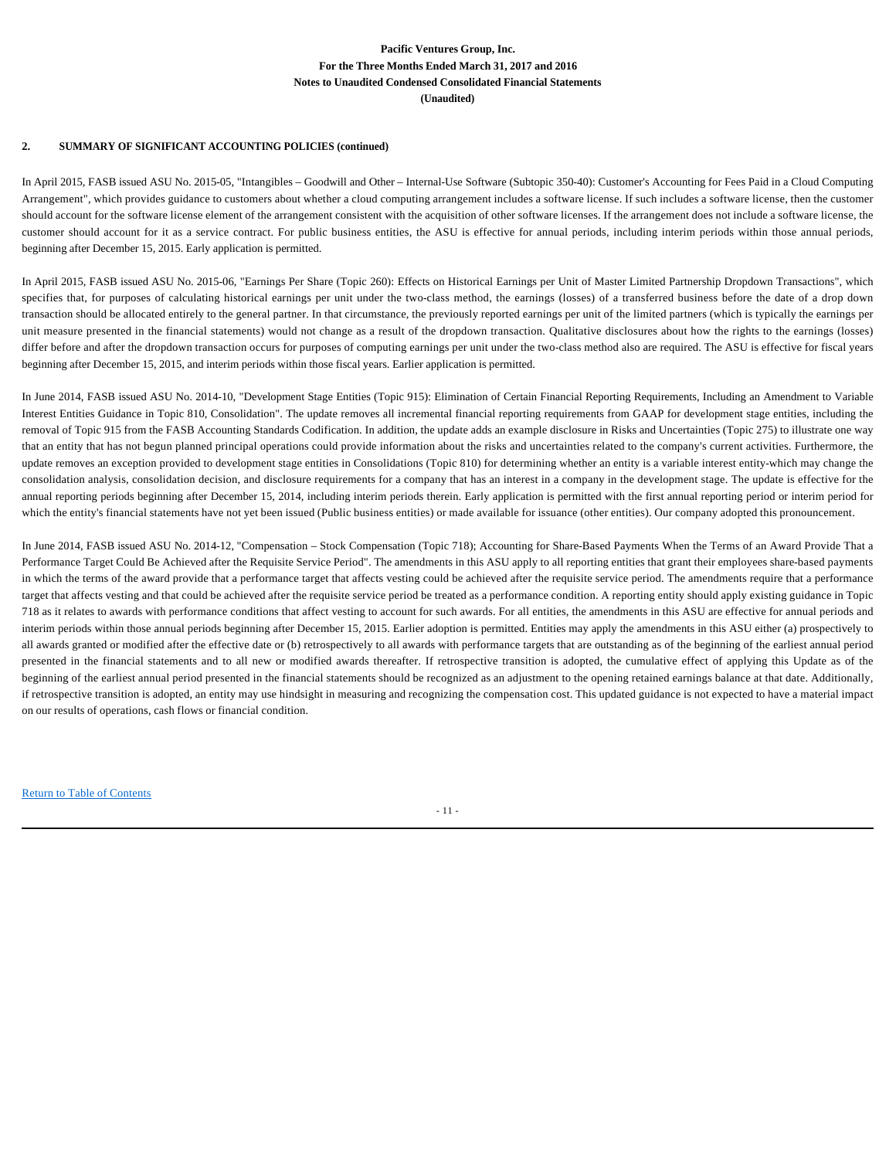# **2. SUMMARY OF SIGNIFICANT ACCOUNTING POLICIES (continued)**

In April 2015, FASB issued ASU No. 2015-05, "Intangibles – Goodwill and Other – Internal-Use Software (Subtopic 350-40): Customer's Accounting for Fees Paid in a Cloud Computing Arrangement", which provides guidance to customers about whether a cloud computing arrangement includes a software license. If such includes a software license, then the customer should account for the software license element of the arrangement consistent with the acquisition of other software licenses. If the arrangement does not include a software license, the customer should account for it as a service contract. For public business entities, the ASU is effective for annual periods, including interim periods within those annual periods, beginning after December 15, 2015. Early application is permitted.

In April 2015, FASB issued ASU No. 2015-06, "Earnings Per Share (Topic 260): Effects on Historical Earnings per Unit of Master Limited Partnership Dropdown Transactions", which specifies that, for purposes of calculating historical earnings per unit under the two-class method, the earnings (losses) of a transferred business before the date of a drop down transaction should be allocated entirely to the general partner. In that circumstance, the previously reported earnings per unit of the limited partners (which is typically the earnings per unit measure presented in the financial statements) would not change as a result of the dropdown transaction. Qualitative disclosures about how the rights to the earnings (losses) differ before and after the dropdown transaction occurs for purposes of computing earnings per unit under the two-class method also are required. The ASU is effective for fiscal years beginning after December 15, 2015, and interim periods within those fiscal years. Earlier application is permitted.

In June 2014, FASB issued ASU No. 2014-10, "Development Stage Entities (Topic 915): Elimination of Certain Financial Reporting Requirements, Including an Amendment to Variable Interest Entities Guidance in Topic 810, Consolidation". The update removes all incremental financial reporting requirements from GAAP for development stage entities, including the removal of Topic 915 from the FASB Accounting Standards Codification. In addition, the update adds an example disclosure in Risks and Uncertainties (Topic 275) to illustrate one way that an entity that has not begun planned principal operations could provide information about the risks and uncertainties related to the company's current activities. Furthermore, the update removes an exception provided to development stage entities in Consolidations (Topic 810) for determining whether an entity is a variable interest entity-which may change the consolidation analysis, consolidation decision, and disclosure requirements for a company that has an interest in a company in the development stage. The update is effective for the annual reporting periods beginning after December 15, 2014, including interim periods therein. Early application is permitted with the first annual reporting period or interim period for which the entity's financial statements have not yet been issued (Public business entities) or made available for issuance (other entities). Our company adopted this pronouncement.

In June 2014, FASB issued ASU No. 2014-12, "Compensation – Stock Compensation (Topic 718); Accounting for Share-Based Payments When the Terms of an Award Provide That a Performance Target Could Be Achieved after the Requisite Service Period". The amendments in this ASU apply to all reporting entities that grant their employees share-based payments in which the terms of the award provide that a performance target that affects vesting could be achieved after the requisite service period. The amendments require that a performance target that affects vesting and that could be achieved after the requisite service period be treated as a performance condition. A reporting entity should apply existing guidance in Topic 718 as it relates to awards with performance conditions that affect vesting to account for such awards. For all entities, the amendments in this ASU are effective for annual periods and interim periods within those annual periods beginning after December 15, 2015. Earlier adoption is permitted. Entities may apply the amendments in this ASU either (a) prospectively to all awards granted or modified after the effective date or (b) retrospectively to all awards with performance targets that are outstanding as of the beginning of the earliest annual period presented in the financial statements and to all new or modified awards thereafter. If retrospective transition is adopted, the cumulative effect of applying this Update as of the beginning of the earliest annual period presented in the financial statements should be recognized as an adjustment to the opening retained earnings balance at that date. Additionally, if retrospective transition is adopted, an entity may use hindsight in measuring and recognizing the compensation cost. This updated guidance is not expected to have a material impact on our results of operations, cash flows or financial condition.

Return to Table of Contents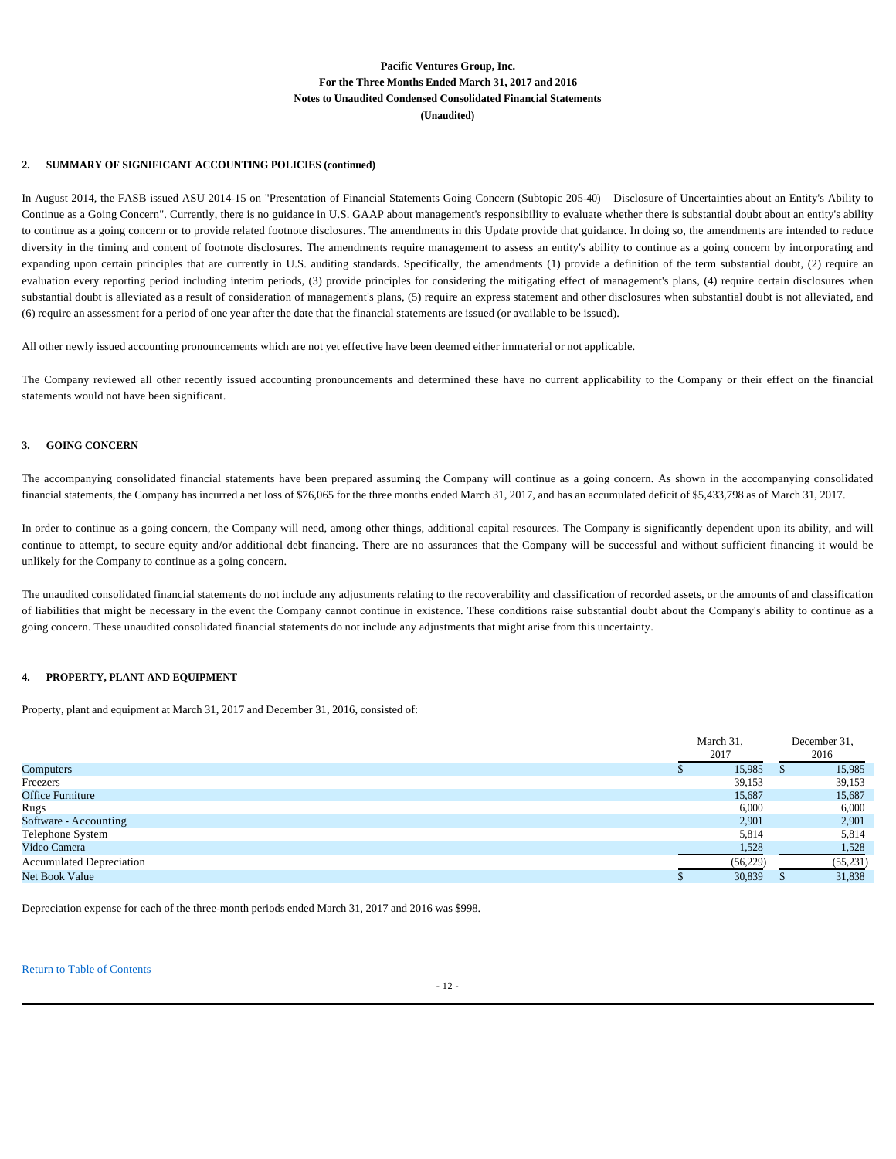# **2. SUMMARY OF SIGNIFICANT ACCOUNTING POLICIES (continued)**

In August 2014, the FASB issued ASU 2014-15 on "Presentation of Financial Statements Going Concern (Subtopic 205-40) – Disclosure of Uncertainties about an Entity's Ability to Continue as a Going Concern". Currently, there is no guidance in U.S. GAAP about management's responsibility to evaluate whether there is substantial doubt about an entity's ability to continue as a going concern or to provide related footnote disclosures. The amendments in this Update provide that guidance. In doing so, the amendments are intended to reduce diversity in the timing and content of footnote disclosures. The amendments require management to assess an entity's ability to continue as a going concern by incorporating and expanding upon certain principles that are currently in U.S. auditing standards. Specifically, the amendments (1) provide a definition of the term substantial doubt, (2) require an evaluation every reporting period including interim periods, (3) provide principles for considering the mitigating effect of management's plans, (4) require certain disclosures when substantial doubt is alleviated as a result of consideration of management's plans, (5) require an express statement and other disclosures when substantial doubt is not alleviated, and (6) require an assessment for a period of one year after the date that the financial statements are issued (or available to be issued).

All other newly issued accounting pronouncements which are not yet effective have been deemed either immaterial or not applicable.

The Company reviewed all other recently issued accounting pronouncements and determined these have no current applicability to the Company or their effect on the financial statements would not have been significant.

# **3. GOING CONCERN**

The accompanying consolidated financial statements have been prepared assuming the Company will continue as a going concern. As shown in the accompanying consolidated financial statements, the Company has incurred a net loss of \$76,065 for the three months ended March 31, 2017, and has an accumulated deficit of \$5,433,798 as of March 31, 2017.

In order to continue as a going concern, the Company will need, among other things, additional capital resources. The Company is significantly dependent upon its ability, and will continue to attempt, to secure equity and/or additional debt financing. There are no assurances that the Company will be successful and without sufficient financing it would be unlikely for the Company to continue as a going concern.

The unaudited consolidated financial statements do not include any adjustments relating to the recoverability and classification of recorded assets, or the amounts of and classification of liabilities that might be necessary in the event the Company cannot continue in existence. These conditions raise substantial doubt about the Company's ability to continue as a going concern. These unaudited consolidated financial statements do not include any adjustments that might arise from this uncertainty.

# **4. PROPERTY, PLANT AND EQUIPMENT**

Property, plant and equipment at March 31, 2017 and December 31, 2016, consisted of:

|                                 | March 31,<br>2017 |          |
|---------------------------------|-------------------|----------|
| Computers                       | 15,985            | 15,985   |
| Freezers                        | 39,153            | 39,153   |
| <b>Office Furniture</b>         | 15,687            | 15,687   |
| Rugs                            | 6,000             | 6,000    |
| Software - Accounting           | 2,901             | 2,901    |
| Telephone System                | 5,814             | 5,814    |
| Video Camera                    | 1,528             | 1,528    |
| <b>Accumulated Depreciation</b> | (56,229)          | (55,231) |
| Net Book Value                  | 30,839            | 31,838   |

Depreciation expense for each of the three-month periods ended March 31, 2017 and 2016 was \$998.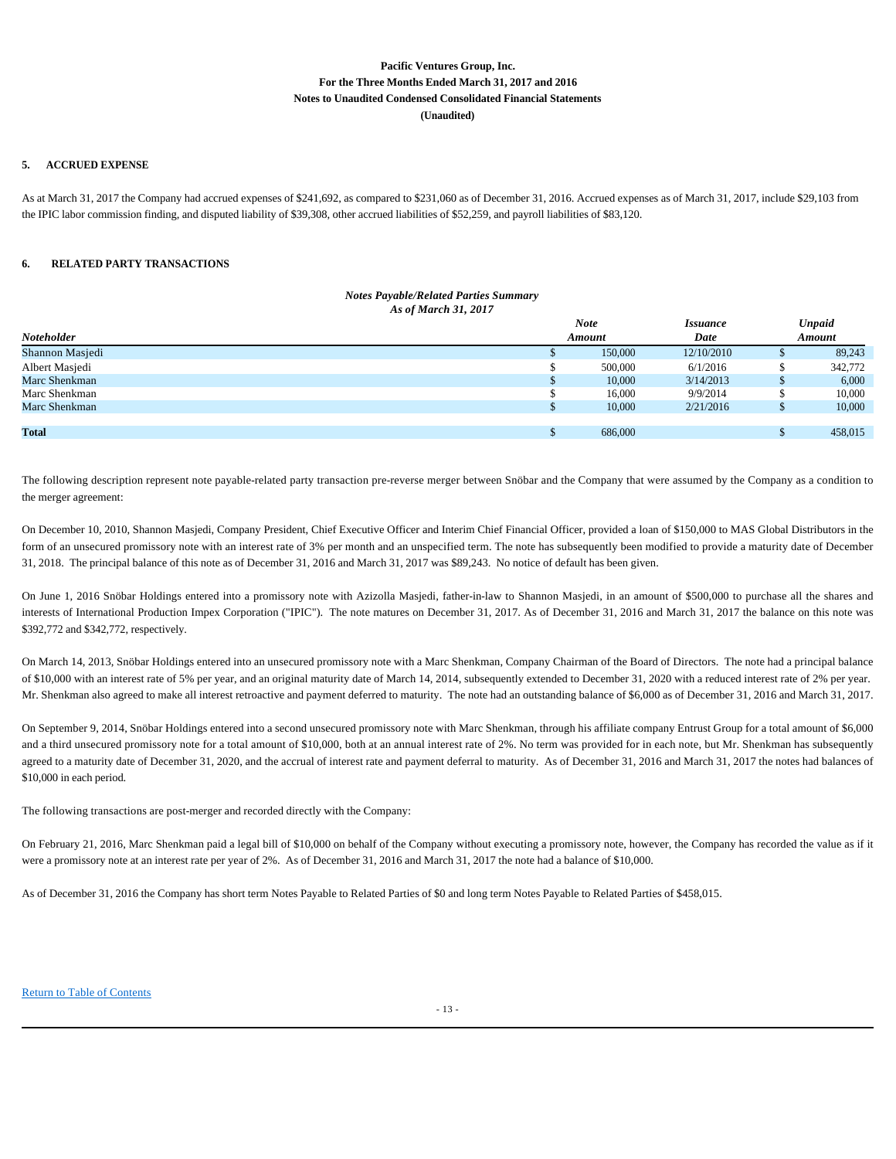## **5. ACCRUED EXPENSE**

As at March 31, 2017 the Company had accrued expenses of \$241,692, as compared to \$231,060 as of December 31, 2016. Accrued expenses as of March 31, 2017, include \$29,103 from the IPIC labor commission finding, and disputed liability of \$39,308, other accrued liabilities of \$52,259, and payroll liabilities of \$83,120.

# **6. RELATED PARTY TRANSACTIONS**

# *Notes Payable/Related Parties Summary As of March 31, 2017*

| <b>Note</b>       |  | <i>Issuance</i> | <b>Unpaid</b> |               |
|-------------------|--|-----------------|---------------|---------------|
| <b>Noteholder</b> |  | Amount          | Date          | <b>Amount</b> |
| Shannon Masjedi   |  | 150,000         | 12/10/2010    | 89,243        |
| Albert Masjedi    |  | 500,000         | 6/1/2016      | 342,772       |
| Marc Shenkman     |  | 10.000          | 3/14/2013     | 6,000         |
| Marc Shenkman     |  | 16.000          | 9/9/2014      | 10,000        |
| Marc Shenkman     |  | 10,000          | 2/21/2016     | 10,000        |
|                   |  |                 |               |               |
| <b>Total</b>      |  | 686,000         |               | 458,015       |
|                   |  |                 |               |               |

The following description represent note payable-related party transaction pre-reverse merger between Snöbar and the Company that were assumed by the Company as a condition to the merger agreement:

On December 10, 2010, Shannon Masjedi, Company President, Chief Executive Officer and Interim Chief Financial Officer, provided a loan of \$150,000 to MAS Global Distributors in the form of an unsecured promissory note with an interest rate of 3% per month and an unspecified term. The note has subsequently been modified to provide a maturity date of December 31, 2018. The principal balance of this note as of December 31, 2016 and March 31, 2017 was \$89,243. No notice of default has been given.

On June 1, 2016 Snöbar Holdings entered into a promissory note with Azizolla Masjedi, father-in-law to Shannon Masjedi, in an amount of \$500,000 to purchase all the shares and interests of International Production Impex Corporation ("IPIC"). The note matures on December 31, 2017. As of December 31, 2016 and March 31, 2017 the balance on this note was \$392,772 and \$342,772, respectively.

On March 14, 2013, Snöbar Holdings entered into an unsecured promissory note with a Marc Shenkman, Company Chairman of the Board of Directors. The note had a principal balance of \$10,000 with an interest rate of 5% per year, and an original maturity date of March 14, 2014, subsequently extended to December 31, 2020 with a reduced interest rate of 2% per year. Mr. Shenkman also agreed to make all interest retroactive and payment deferred to maturity. The note had an outstanding balance of \$6,000 as of December 31, 2016 and March 31, 2017.

On September 9, 2014, Snöbar Holdings entered into a second unsecured promissory note with Marc Shenkman, through his affiliate company Entrust Group for a total amount of \$6,000 and a third unsecured promissory note for a total amount of \$10,000, both at an annual interest rate of 2%. No term was provided for in each note, but Mr. Shenkman has subsequently agreed to a maturity date of December 31, 2020, and the accrual of interest rate and payment deferral to maturity. As of December 31, 2016 and March 31, 2017 the notes had balances of \$10,000 in each period.

The following transactions are post-merger and recorded directly with the Company:

On February 21, 2016, Marc Shenkman paid a legal bill of \$10,000 on behalf of the Company without executing a promissory note, however, the Company has recorded the value as if it were a promissory note at an interest rate per year of 2%. As of December 31, 2016 and March 31, 2017 the note had a balance of \$10,000.

As of December 31, 2016 the Company has short term Notes Payable to Related Parties of \$0 and long term Notes Payable to Related Parties of \$458,015.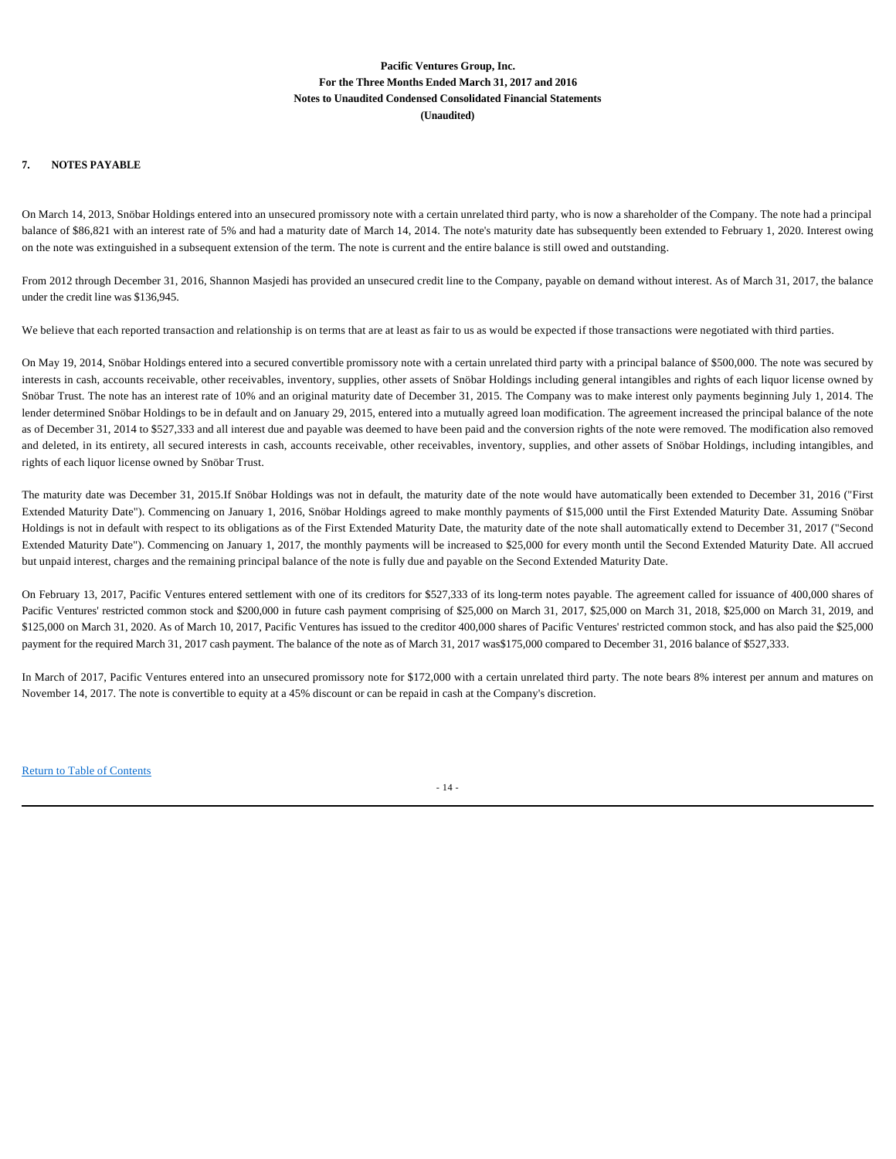## **7. NOTES PAYABLE**

On March 14, 2013, Snöbar Holdings entered into an unsecured promissory note with a certain unrelated third party, who is now a shareholder of the Company. The note had a principal balance of \$86,821 with an interest rate of 5% and had a maturity date of March 14, 2014. The note's maturity date has subsequently been extended to February 1, 2020. Interest owing on the note was extinguished in a subsequent extension of the term. The note is current and the entire balance is still owed and outstanding.

From 2012 through December 31, 2016, Shannon Masjedi has provided an unsecured credit line to the Company, payable on demand without interest. As of March 31, 2017, the balance under the credit line was \$136,945.

We believe that each reported transaction and relationship is on terms that are at least as fair to us as would be expected if those transactions were negotiated with third parties.

On May 19, 2014, Snöbar Holdings entered into a secured convertible promissory note with a certain unrelated third party with a principal balance of \$500,000. The note was secured by interests in cash, accounts receivable, other receivables, inventory, supplies, other assets of Snöbar Holdings including general intangibles and rights of each liquor license owned by Snöbar Trust. The note has an interest rate of 10% and an original maturity date of December 31, 2015. The Company was to make interest only payments beginning July 1, 2014. The lender determined Snöbar Holdings to be in default and on January 29, 2015, entered into a mutually agreed loan modification. The agreement increased the principal balance of the note as of December 31, 2014 to \$527,333 and all interest due and payable was deemed to have been paid and the conversion rights of the note were removed. The modification also removed and deleted, in its entirety, all secured interests in cash, accounts receivable, other receivables, inventory, supplies, and other assets of Snöbar Holdings, including intangibles, and rights of each liquor license owned by Snöbar Trust.

The maturity date was December 31, 2015.If Snöbar Holdings was not in default, the maturity date of the note would have automatically been extended to December 31, 2016 ("First Extended Maturity Date"). Commencing on January 1, 2016, Snöbar Holdings agreed to make monthly payments of \$15,000 until the First Extended Maturity Date. Assuming Snöbar Holdings is not in default with respect to its obligations as of the First Extended Maturity Date, the maturity date of the note shall automatically extend to December 31, 2017 ("Second Extended Maturity Date"). Commencing on January 1, 2017, the monthly payments will be increased to \$25,000 for every month until the Second Extended Maturity Date. All accrued but unpaid interest, charges and the remaining principal balance of the note is fully due and payable on the Second Extended Maturity Date.

On February 13, 2017, Pacific Ventures entered settlement with one of its creditors for \$527,333 of its long-term notes payable. The agreement called for issuance of 400,000 shares of Pacific Ventures' restricted common stock and \$200,000 in future cash payment comprising of \$25,000 on March 31, 2017, \$25,000 on March 31, 2018, \$25,000 on March 31, 2019, and \$125,000 on March 31, 2020. As of March 10, 2017, Pacific Ventures has issued to the creditor 400,000 shares of Pacific Ventures' restricted common stock, and has also paid the \$25,000 payment for the required March 31, 2017 cash payment. The balance of the note as of March 31, 2017 was\$175,000 compared to December 31, 2016 balance of \$527,333.

In March of 2017, Pacific Ventures entered into an unsecured promissory note for \$172,000 with a certain unrelated third party. The note bears 8% interest per annum and matures on November 14, 2017. The note is convertible to equity at a 45% discount or can be repaid in cash at the Company's discretion.

Return to Table of Contents

- 14 -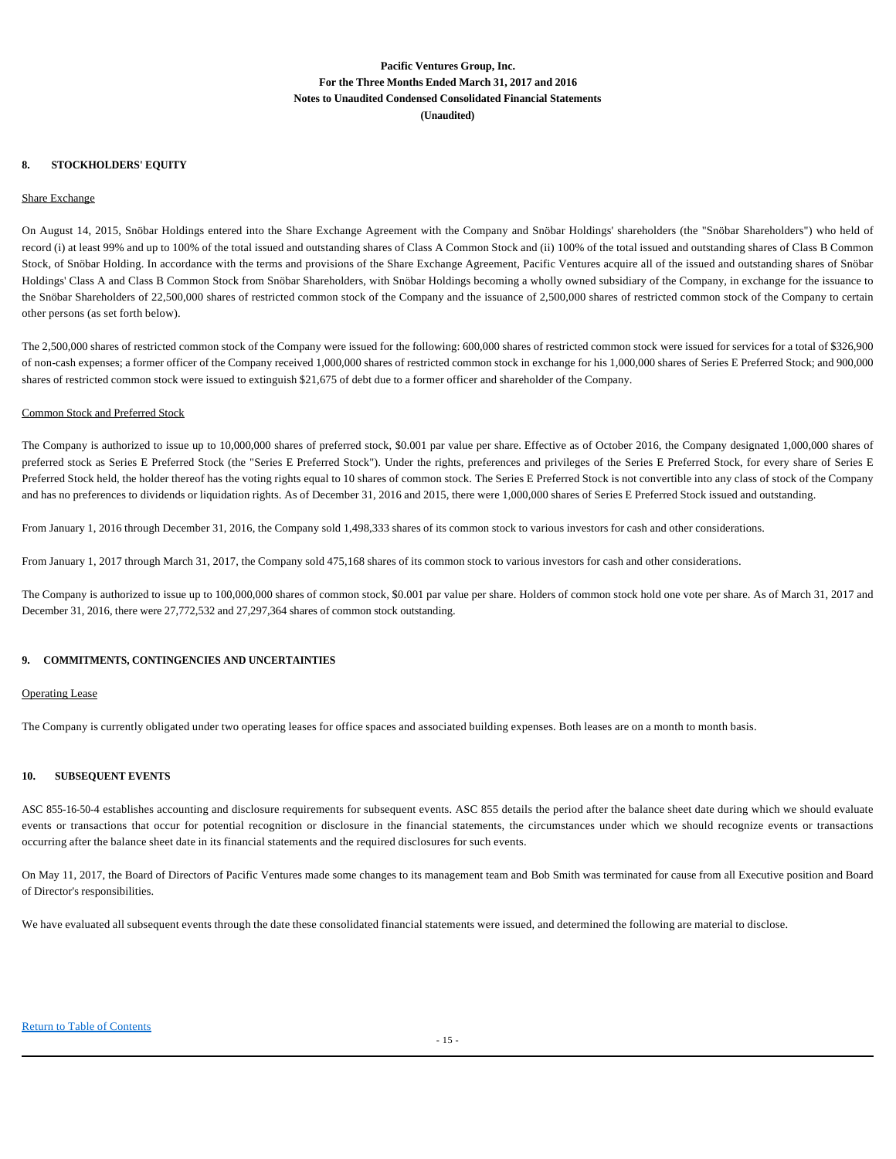## **8. STOCKHOLDERS' EQUITY**

# Share Exchange

On August 14, 2015, Snöbar Holdings entered into the Share Exchange Agreement with the Company and Snöbar Holdings' shareholders (the "Snöbar Shareholders") who held of record (i) at least 99% and up to 100% of the total issued and outstanding shares of Class A Common Stock and (ii) 100% of the total issued and outstanding shares of Class B Common Stock, of Snöbar Holding. In accordance with the terms and provisions of the Share Exchange Agreement, Pacific Ventures acquire all of the issued and outstanding shares of Snöbar Holdings' Class A and Class B Common Stock from Snöbar Shareholders, with Snöbar Holdings becoming a wholly owned subsidiary of the Company, in exchange for the issuance to the Snöbar Shareholders of 22,500,000 shares of restricted common stock of the Company and the issuance of 2,500,000 shares of restricted common stock of the Company to certain other persons (as set forth below).

The 2,500,000 shares of restricted common stock of the Company were issued for the following: 600,000 shares of restricted common stock were issued for services for a total of \$326,900 of non-cash expenses; a former officer of the Company received 1,000,000 shares of restricted common stock in exchange for his 1,000,000 shares of Series E Preferred Stock; and 900,000 shares of restricted common stock were issued to extinguish \$21,675 of debt due to a former officer and shareholder of the Company.

#### Common Stock and Preferred Stock

The Company is authorized to issue up to 10,000,000 shares of preferred stock, \$0.001 par value per share. Effective as of October 2016, the Company designated 1,000,000 shares of preferred stock as Series E Preferred Stock (the "Series E Preferred Stock"). Under the rights, preferences and privileges of the Series E Preferred Stock, for every share of Series E Preferred Stock held, the holder thereof has the voting rights equal to 10 shares of common stock. The Series E Preferred Stock is not convertible into any class of stock of the Company and has no preferences to dividends or liquidation rights. As of December 31, 2016 and 2015, there were 1,000,000 shares of Series E Preferred Stock issued and outstanding.

From January 1, 2016 through December 31, 2016, the Company sold 1,498,333 shares of its common stock to various investors for cash and other considerations.

From January 1, 2017 through March 31, 2017, the Company sold 475,168 shares of its common stock to various investors for cash and other considerations.

The Company is authorized to issue up to 100,000,000 shares of common stock, \$0.001 par value per share. Holders of common stock hold one vote per share. As of March 31, 2017 and December 31, 2016, there were 27,772,532 and 27,297,364 shares of common stock outstanding.

## **9. COMMITMENTS, CONTINGENCIES AND UNCERTAINTIES**

#### Operating Lease

The Company is currently obligated under two operating leases for office spaces and associated building expenses. Both leases are on a month to month basis.

## **10. SUBSEQUENT EVENTS**

ASC 855-16-50-4 establishes accounting and disclosure requirements for subsequent events. ASC 855 details the period after the balance sheet date during which we should evaluate events or transactions that occur for potential recognition or disclosure in the financial statements, the circumstances under which we should recognize events or transactions occurring after the balance sheet date in its financial statements and the required disclosures for such events.

On May 11, 2017, the Board of Directors of Pacific Ventures made some changes to its management team and Bob Smith was terminated for cause from all Executive position and Board of Director's responsibilities.

We have evaluated all subsequent events through the date these consolidated financial statements were issued, and determined the following are material to disclose.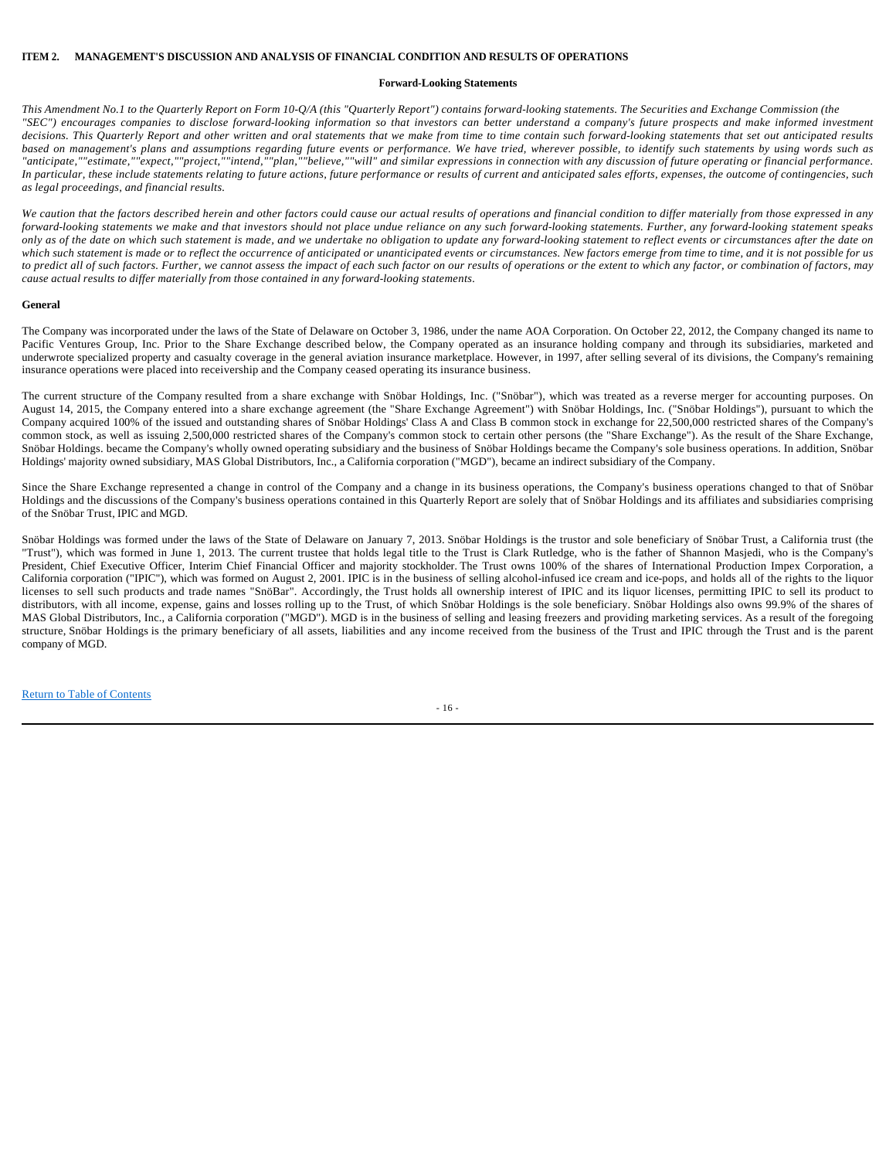#### **ITEM 2. MANAGEMENT'S DISCUSSION AND ANALYSIS OF FINANCIAL CONDITION AND RESULTS OF OPERATIONS**

#### **Forward-Looking Statements**

*This Amendment No.1 to the Quarterly Report on Form 10-Q/A (this "Quarterly Report") contains forward-looking statements. The Securities and Exchange Commission (the "SEC") encourages companies to disclose forward-looking information so that investors can better understand a company's future prospects and make informed investment decisions. This Quarterly Report and other written and oral statements that we make from time to time contain such forward-looking statements that set out anticipated results based on management's plans and assumptions regarding future events or performance. We have tried, wherever possible, to identify such statements by using words such as "anticipate,""estimate,""expect,""project,""intend,""plan,""believe,""will" and similar expressions in connection with any discussion of future operating or financial performance. In particular, these include statements relating to future actions, future performance or results of current and anticipated sales efforts, expenses, the outcome of contingencies, such as legal proceedings, and financial results.*

We caution that the factors described herein and other factors could cause our actual results of operations and financial condition to differ materially from those expressed in any *forward-looking statements we make and that investors should not place undue reliance on any such forward-looking statements. Further, any forward-looking statement speaks only as of the date on which such statement is made, and we undertake no obligation to update any forward-looking statement to reflect events or circumstances after the date on which such statement is made or to reflect the occurrence of anticipated or unanticipated events or circumstances. New factors emerge from time to time, and it is not possible for us to predict all of such factors. Further, we cannot assess the impact of each such factor on our results of operations or the extent to which any factor, or combination of factors, may cause actual results to differ materially from those contained in any forward-looking statements.*

#### **General**

The Company was incorporated under the laws of the State of Delaware on October 3, 1986, under the name AOA Corporation. On October 22, 2012, the Company changed its name to Pacific Ventures Group, Inc. Prior to the Share Exchange described below, the Company operated as an insurance holding company and through its subsidiaries, marketed and underwrote specialized property and casualty coverage in the general aviation insurance marketplace. However, in 1997, after selling several of its divisions, the Company's remaining insurance operations were placed into receivership and the Company ceased operating its insurance business.

The current structure of the Company resulted from a share exchange with Snöbar Holdings, Inc. ("Snöbar"), which was treated as a reverse merger for accounting purposes. On August 14, 2015, the Company entered into a share exchange agreement (the "Share Exchange Agreement") with Snöbar Holdings, Inc. ("Snöbar Holdings"), pursuant to which the Company acquired 100% of the issued and outstanding shares of Snöbar Holdings' Class A and Class B common stock in exchange for 22,500,000 restricted shares of the Company's common stock, as well as issuing 2,500,000 restricted shares of the Company's common stock to certain other persons (the "Share Exchange"). As the result of the Share Exchange, Snöbar Holdings. became the Company's wholly owned operating subsidiary and the business of Snöbar Holdings became the Company's sole business operations. In addition, Snöbar Holdings' majority owned subsidiary, MAS Global Distributors, Inc., a California corporation ("MGD"), became an indirect subsidiary of the Company.

Since the Share Exchange represented a change in control of the Company and a change in its business operations, the Company's business operations changed to that of Snöbar Holdings and the discussions of the Company's business operations contained in this Quarterly Report are solely that of Snöbar Holdings and its affiliates and subsidiaries comprising of the Snöbar Trust, IPIC and MGD.

Snöbar Holdings was formed under the laws of the State of Delaware on January 7, 2013. Snöbar Holdings is the trustor and sole beneficiary of Snöbar Trust, a California trust (the "Trust"), which was formed in June 1, 2013. The current trustee that holds legal title to the Trust is Clark Rutledge, who is the father of Shannon Masjedi, who is the Company's President, Chief Executive Officer, Interim Chief Financial Officer and majority stockholder. The Trust owns 100% of the shares of International Production Impex Corporation, a California corporation ("IPIC"), which was formed on August 2, 2001. IPIC is in the business of selling alcohol-infused ice cream and ice-pops, and holds all of the rights to the liquor licenses to sell such products and trade names "SnöBar". Accordingly, the Trust holds all ownership interest of IPIC and its liquor licenses, permitting IPIC to sell its product to distributors, with all income, expense, gains and losses rolling up to the Trust, of which Snöbar Holdings is the sole beneficiary. Snöbar Holdings also owns 99.9% of the shares of MAS Global Distributors, Inc., a California corporation ("MGD"). MGD is in the business of selling and leasing freezers and providing marketing services. As a result of the foregoing structure, Snöbar Holdings is the primary beneficiary of all assets, liabilities and any income received from the business of the Trust and IPIC through the Trust and is the parent company of MGD.

- 16 -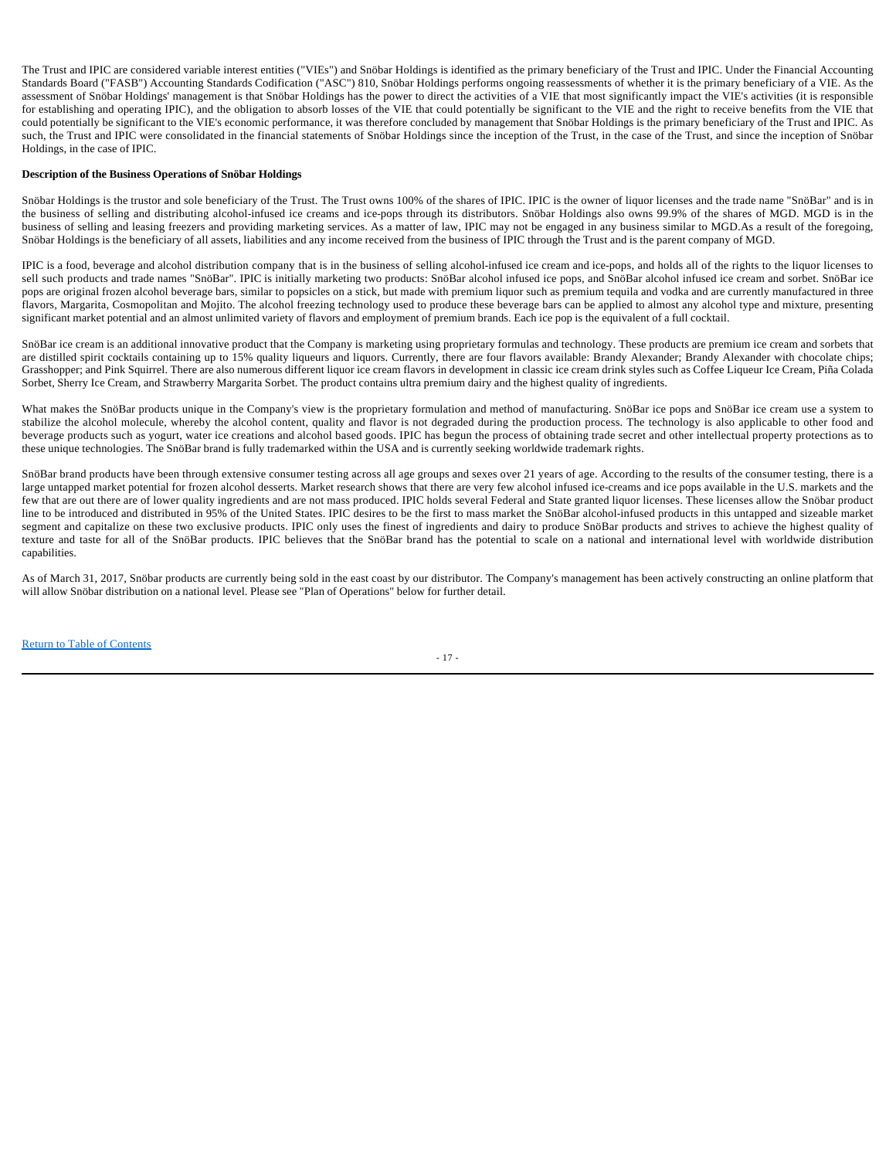The Trust and IPIC are considered variable interest entities ("VIEs") and Snöbar Holdings is identified as the primary beneficiary of the Trust and IPIC. Under the Financial Accounting Standards Board ("FASB") Accounting Standards Codification ("ASC") 810, Snöbar Holdings performs ongoing reassessments of whether it is the primary beneficiary of a VIE. As the assessment of Snöbar Holdings' management is that Snöbar Holdings has the power to direct the activities of a VIE that most significantly impact the VIE's activities (it is responsible for establishing and operating IPIC), and the obligation to absorb losses of the VIE that could potentially be significant to the VIE and the right to receive benefits from the VIE that could potentially be significant to the VIE's economic performance, it was therefore concluded by management that Snöbar Holdings is the primary beneficiary of the Trust and IPIC. As such, the Trust and IPIC were consolidated in the financial statements of Snöbar Holdings since the inception of the Trust, in the case of the Trust, and since the inception of Snöbar Holdings, in the case of IPIC.

#### **Description of the Business Operations of Snöbar Holdings**

Snöbar Holdings is the trustor and sole beneficiary of the Trust. The Trust owns 100% of the shares of IPIC. IPIC is the owner of liquor licenses and the trade name "SnöBar" and is in the business of selling and distributing alcohol-infused ice creams and ice-pops through its distributors. Snöbar Holdings also owns 99.9% of the shares of MGD. MGD is in the business of selling and leasing freezers and providing marketing services. As a matter of law, IPIC may not be engaged in any business similar to MGD.As a result of the foregoing, Snöbar Holdings is the beneficiary of all assets, liabilities and any income received from the business of IPIC through the Trust and is the parent company of MGD.

IPIC is a food, beverage and alcohol distribution company that is in the business of selling alcohol-infused ice cream and ice-pops, and holds all of the rights to the liquor licenses to sell such products and trade names "SnöBar". IPIC is initially marketing two products: SnöBar alcohol infused ice pops, and SnöBar alcohol infused ice cream and sorbet. SnöBar ice pops are original frozen alcohol beverage bars, similar to popsicles on a stick, but made with premium liquor such as premium tequila and vodka and are currently manufactured in three flavors, Margarita, Cosmopolitan and Mojito. The alcohol freezing technology used to produce these beverage bars can be applied to almost any alcohol type and mixture, presenting significant market potential and an almost unlimited variety of flavors and employment of premium brands. Each ice pop is the equivalent of a full cocktail.

SnöBar ice cream is an additional innovative product that the Company is marketing using proprietary formulas and technology. These products are premium ice cream and sorbets that are distilled spirit cocktails containing up to 15% quality liqueurs and liquors. Currently, there are four flavors available: Brandy Alexander; Brandy Alexander with chocolate chips; Grasshopper; and Pink Squirrel. There are also numerous different liquor ice cream flavors in development in classic ice cream drink styles such as Coffee Liqueur Ice Cream, Piña Colada Sorbet, Sherry Ice Cream, and Strawberry Margarita Sorbet. The product contains ultra premium dairy and the highest quality of ingredients.

What makes the SnöBar products unique in the Company's view is the proprietary formulation and method of manufacturing. SnöBar ice pops and SnöBar ice cream use a system to stabilize the alcohol molecule, whereby the alcohol content, quality and flavor is not degraded during the production process. The technology is also applicable to other food and beverage products such as yogurt, water ice creations and alcohol based goods. IPIC has begun the process of obtaining trade secret and other intellectual property protections as to these unique technologies. The SnöBar brand is fully trademarked within the USA and is currently seeking worldwide trademark rights.

SnöBar brand products have been through extensive consumer testing across all age groups and sexes over 21 years of age. According to the results of the consumer testing, there is a large untapped market potential for frozen alcohol desserts. Market research shows that there are very few alcohol infused ice-creams and ice pops available in the U.S. markets and the few that are out there are of lower quality ingredients and are not mass produced. IPIC holds several Federal and State granted liquor licenses. These licenses allow the Snöbar product line to be introduced and distributed in 95% of the United States. IPIC desires to be the first to mass market the SnöBar alcohol-infused products in this untapped and sizeable market segment and capitalize on these two exclusive products. IPIC only uses the finest of ingredients and dairy to produce SnöBar products and strives to achieve the highest quality of texture and taste for all of the SnöBar products. IPIC believes that the SnöBar brand has the potential to scale on a national and international level with worldwide distribution capabilities.

As of March 31, 2017, Snöbar products are currently being sold in the east coast by our distributor. The Company's management has been actively constructing an online platform that will allow Snöbar distribution on a national level. Please see "Plan of Operations" below for further detail.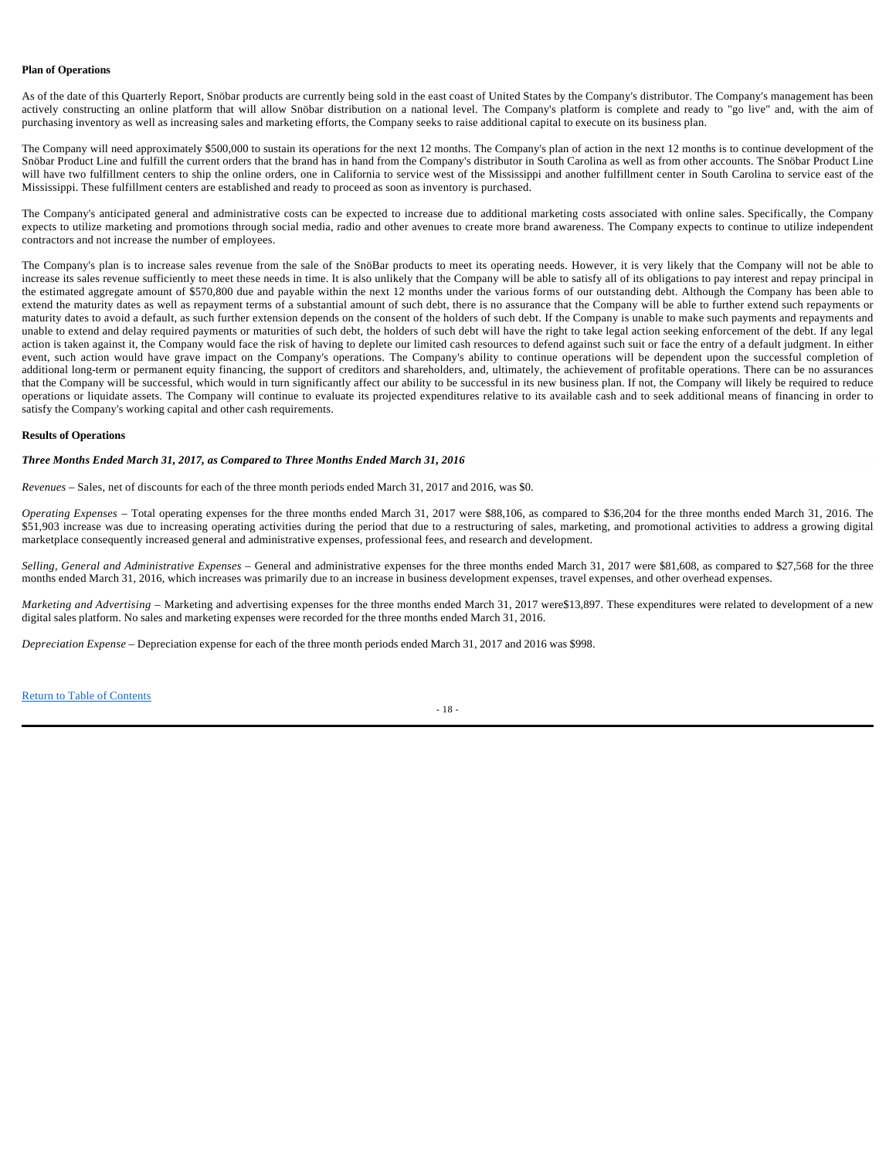#### **Plan of Operations**

As of the date of this Quarterly Report, Snöbar products are currently being sold in the east coast of United States by the Company's distributor. The Company's management has been actively constructing an online platform that will allow Snöbar distribution on a national level. The Company's platform is complete and ready to "go live" and, with the aim of purchasing inventory as well as increasing sales and marketing efforts, the Company seeks to raise additional capital to execute on its business plan.

The Company will need approximately \$500,000 to sustain its operations for the next 12 months. The Company's plan of action in the next 12 months is to continue development of the Snöbar Product Line and fulfill the current orders that the brand has in hand from the Company's distributor in South Carolina as well as from other accounts. The Snöbar Product Line will have two fulfillment centers to ship the online orders, one in California to service west of the Mississippi and another fulfillment center in South Carolina to service east of the Mississippi. These fulfillment centers are established and ready to proceed as soon as inventory is purchased.

The Company's anticipated general and administrative costs can be expected to increase due to additional marketing costs associated with online sales. Specifically, the Company expects to utilize marketing and promotions through social media, radio and other avenues to create more brand awareness. The Company expects to continue to utilize independent contractors and not increase the number of employees.

The Company's plan is to increase sales revenue from the sale of the SnöBar products to meet its operating needs. However, it is very likely that the Company will not be able to increase its sales revenue sufficiently to meet these needs in time. It is also unlikely that the Company will be able to satisfy all of its obligations to pay interest and repay principal in the estimated aggregate amount of \$570,800 due and payable within the next 12 months under the various forms of our outstanding debt. Although the Company has been able to extend the maturity dates as well as repayment terms of a substantial amount of such debt, there is no assurance that the Company will be able to further extend such repayments or maturity dates to avoid a default, as such further extension depends on the consent of the holders of such debt. If the Company is unable to make such payments and repayments and unable to extend and delay required payments or maturities of such debt, the holders of such debt will have the right to take legal action seeking enforcement of the debt. If any legal action is taken against it, the Company would face the risk of having to deplete our limited cash resources to defend against such suit or face the entry of a default judgment. In either event, such action would have grave impact on the Company's operations. The Company's ability to continue operations will be dependent upon the successful completion of additional long-term or permanent equity financing, the support of creditors and shareholders, and, ultimately, the achievement of profitable operations. There can be no assurances that the Company will be successful, which would in turn significantly affect our ability to be successful in its new business plan. If not, the Company will likely be required to reduce operations or liquidate assets. The Company will continue to evaluate its projected expenditures relative to its available cash and to seek additional means of financing in order to satisfy the Company's working capital and other cash requirements.

#### **Results of Operations**

#### *Three Months Ended March 31, 2017, as Compared to Three Months Ended March 31, 2016*

*Revenues* – Sales, net of discounts for each of the three month periods ended March 31, 2017 and 2016, was \$0.

*Operating Expenses* – Total operating expenses for the three months ended March 31, 2017 were \$88,106, as compared to \$36,204 for the three months ended March 31, 2016. The \$51,903 increase was due to increasing operating activities during the period that due to a restructuring of sales, marketing, and promotional activities to address a growing digital marketplace consequently increased general and administrative expenses, professional fees, and research and development.

Selling, General and Administrative Expenses – General and administrative expenses for the three months ended March 31, 2017 were \$81,608, as compared to \$27,568 for the three months ended March 31, 2016, which increases was primarily due to an increase in business development expenses, travel expenses, and other overhead expenses.

*Marketing and Advertising –* Marketing and advertising expenses for the three months ended March 31, 2017 were\$13,897. These expenditures were related to development of a new digital sales platform. No sales and marketing expenses were recorded for the three months ended March 31, 2016.

*Depreciation Expense –* Depreciation expense for each of the three month periods ended March 31, 2017 and 2016 was \$998.

## - 18 -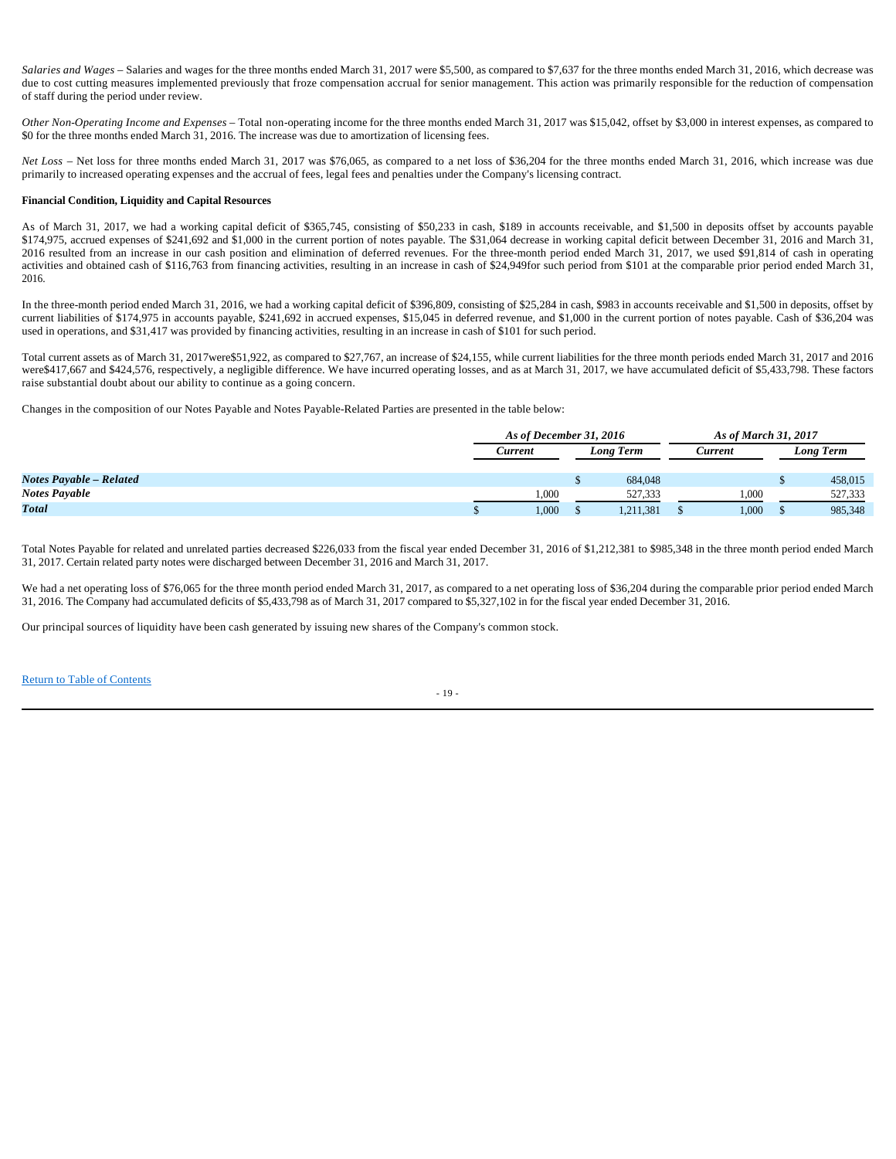Salaries and Wages – Salaries and wages for the three months ended March 31, 2017 were \$5,500, as compared to \$7,637 for the three months ended March 31, 2016, which decrease was due to cost cutting measures implemented previously that froze compensation accrual for senior management. This action was primarily responsible for the reduction of compensation of staff during the period under review.

*Other Non-Operating Income and Expenses* – Total non-operating income for the three months ended March 31, 2017 was \$15,042, offset by \$3,000 in interest expenses, as compared to \$0 for the three months ended March 31, 2016. The increase was due to amortization of licensing fees.

*Net Loss* – Net loss for three months ended March 31, 2017 was \$76,065, as compared to a net loss of \$36,204 for the three months ended March 31, 2016, which increase was due primarily to increased operating expenses and the accrual of fees, legal fees and penalties under the Company's licensing contract.

### **Financial Condition, Liquidity and Capital Resources**

As of March 31, 2017, we had a working capital deficit of \$365,745, consisting of \$50,233 in cash, \$189 in accounts receivable, and \$1,500 in deposits offset by accounts payable \$174,975, accrued expenses of \$241,692 and \$1,000 in the current portion of notes payable. The \$31,064 decrease in working capital deficit between December 31, 2016 and March 31, 2016 resulted from an increase in our cash position and elimination of deferred revenues. For the three-month period ended March 31, 2017, we used \$91,814 of cash in operating activities and obtained cash of \$116,763 from financing activities, resulting in an increase in cash of \$24,949for such period from \$101 at the comparable prior period ended March 31, 2016.

In the three-month period ended March 31, 2016, we had a working capital deficit of \$396,809, consisting of \$25,284 in cash, \$983 in accounts receivable and \$1,500 in deposits, offset by current liabilities of \$174,975 in accounts payable, \$241,692 in accrued expenses, \$15,045 in deferred revenue, and \$1,000 in the current portion of notes payable. Cash of \$36,204 was used in operations, and \$31,417 was provided by financing activities, resulting in an increase in cash of \$101 for such period.

Total current assets as of March 31, 2017were\$51,922, as compared to \$27,767, an increase of \$24,155, while current liabilities for the three month periods ended March 31, 2017 and 2016 were\$417,667 and \$424,576, respectively, a negligible difference. We have incurred operating losses, and as at March 31, 2017, we have accumulated deficit of \$5,433,798. These factors raise substantial doubt about our ability to continue as a going concern.

Changes in the composition of our Notes Payable and Notes Payable-Related Parties are presented in the table below:

|                                | As of December 31, 2016 |                  |           |         | As of March 31, 2017 |           |         |  |
|--------------------------------|-------------------------|------------------|-----------|---------|----------------------|-----------|---------|--|
|                                | Current                 | <b>Long Term</b> |           | Current |                      | Long Term |         |  |
| <b>Notes Payable - Related</b> |                         |                  | 684,048   |         |                      |           | 458,015 |  |
| <b>Notes Payable</b>           | 1.000                   |                  | 527.333   |         | 1,000                |           | 527,333 |  |
| Total                          | 1,000                   |                  | 1.211.381 |         | 1,000                |           | 985,348 |  |

Total Notes Payable for related and unrelated parties decreased \$226,033 from the fiscal year ended December 31, 2016 of \$1,212,381 to \$985,348 in the three month period ended March 31, 2017. Certain related party notes were discharged between December 31, 2016 and March 31, 2017.

We had a net operating loss of \$76,065 for the three month period ended March 31, 2017, as compared to a net operating loss of \$36,204 during the comparable prior period ended March 31, 2016. The Company had accumulated deficits of \$5,433,798 as of March 31, 2017 compared to \$5,327,102 in for the fiscal year ended December 31, 2016.

Our principal sources of liquidity have been cash generated by issuing new shares of the Company's common stock.

- 19 -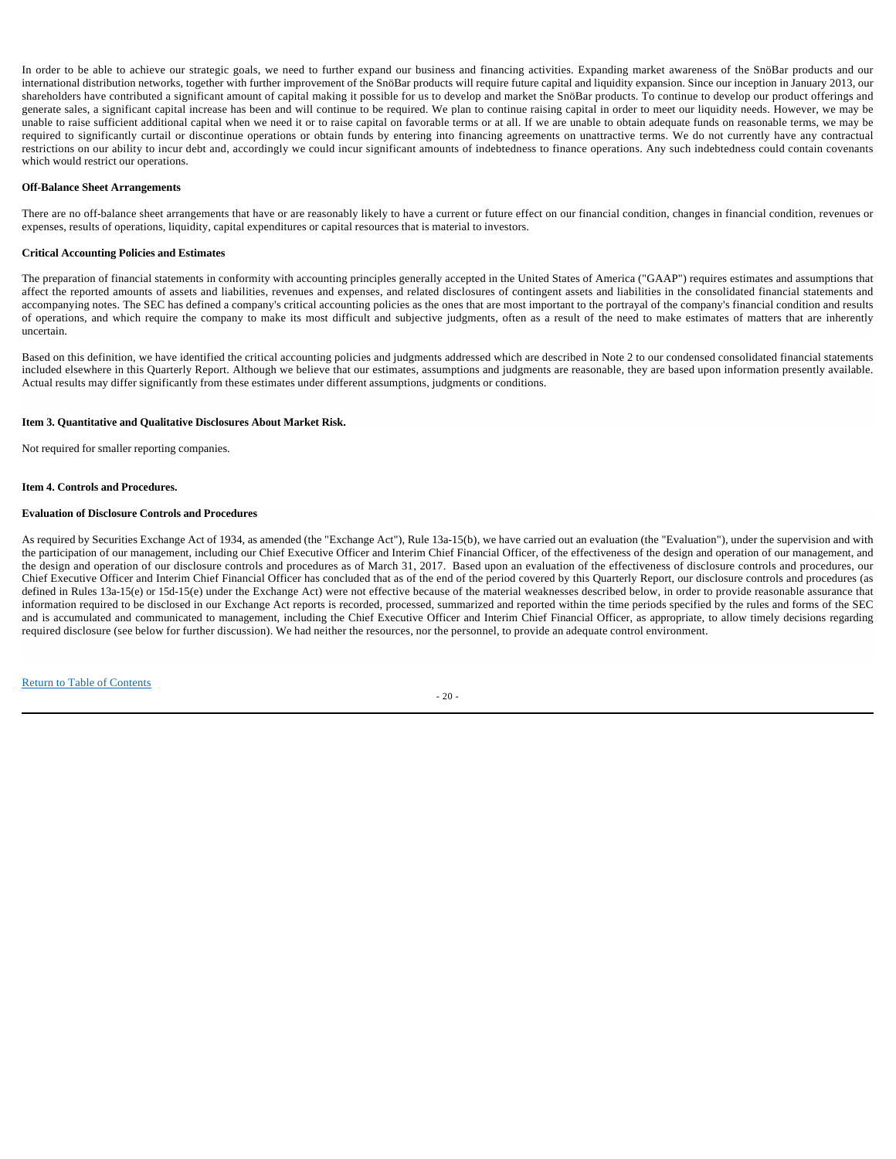In order to be able to achieve our strategic goals, we need to further expand our business and financing activities. Expanding market awareness of the SnöBar products and our international distribution networks, together with further improvement of the SnöBar products will require future capital and liquidity expansion. Since our inception in January 2013, our shareholders have contributed a significant amount of capital making it possible for us to develop and market the SnöBar products. To continue to develop our product offerings and generate sales, a significant capital increase has been and will continue to be required. We plan to continue raising capital in order to meet our liquidity needs. However, we may be unable to raise sufficient additional capital when we need it or to raise capital on favorable terms or at all. If we are unable to obtain adequate funds on reasonable terms, we may be required to significantly curtail or discontinue operations or obtain funds by entering into financing agreements on unattractive terms. We do not currently have any contractual restrictions on our ability to incur debt and, accordingly we could incur significant amounts of indebtedness to finance operations. Any such indebtedness could contain covenants which would restrict our operations.

#### **Off-Balance Sheet Arrangements**

There are no off-balance sheet arrangements that have or are reasonably likely to have a current or future effect on our financial condition, changes in financial condition, revenues or expenses, results of operations, liquidity, capital expenditures or capital resources that is material to investors.

#### **Critical Accounting Policies and Estimates**

The preparation of financial statements in conformity with accounting principles generally accepted in the United States of America ("GAAP") requires estimates and assumptions that affect the reported amounts of assets and liabilities, revenues and expenses, and related disclosures of contingent assets and liabilities in the consolidated financial statements and accompanying notes. The SEC has defined a company's critical accounting policies as the ones that are most important to the portrayal of the company's financial condition and results of operations, and which require the company to make its most difficult and subjective judgments, often as a result of the need to make estimates of matters that are inherently uncertain.

Based on this definition, we have identified the critical accounting policies and judgments addressed which are described in Note 2 to our condensed consolidated financial statements included elsewhere in this Quarterly Report. Although we believe that our estimates, assumptions and judgments are reasonable, they are based upon information presently available. Actual results may differ significantly from these estimates under different assumptions, judgments or conditions.

#### **Item 3. Quantitative and Qualitative Disclosures About Market Risk.**

Not required for smaller reporting companies.

#### **Item 4. Controls and Procedures.**

## **Evaluation of Disclosure Controls and Procedures**

As required by Securities Exchange Act of 1934, as amended (the "Exchange Act"), Rule 13a-15(b), we have carried out an evaluation (the "Evaluation"), under the supervision and with the participation of our management, including our Chief Executive Officer and Interim Chief Financial Officer, of the effectiveness of the design and operation of our management, and the design and operation of our disclosure controls and procedures as of March 31, 2017. Based upon an evaluation of the effectiveness of disclosure controls and procedures, our Chief Executive Officer and Interim Chief Financial Officer has concluded that as of the end of the period covered by this Quarterly Report, our disclosure controls and procedures (as defined in Rules 13a-15(e) or 15d-15(e) under the Exchange Act) were not effective because of the material weaknesses described below, in order to provide reasonable assurance that information required to be disclosed in our Exchange Act reports is recorded, processed, summarized and reported within the time periods specified by the rules and forms of the SEC and is accumulated and communicated to management, including the Chief Executive Officer and Interim Chief Financial Officer, as appropriate, to allow timely decisions regarding required disclosure (see below for further discussion). We had neither the resources, nor the personnel, to provide an adequate control environment.

- 20 -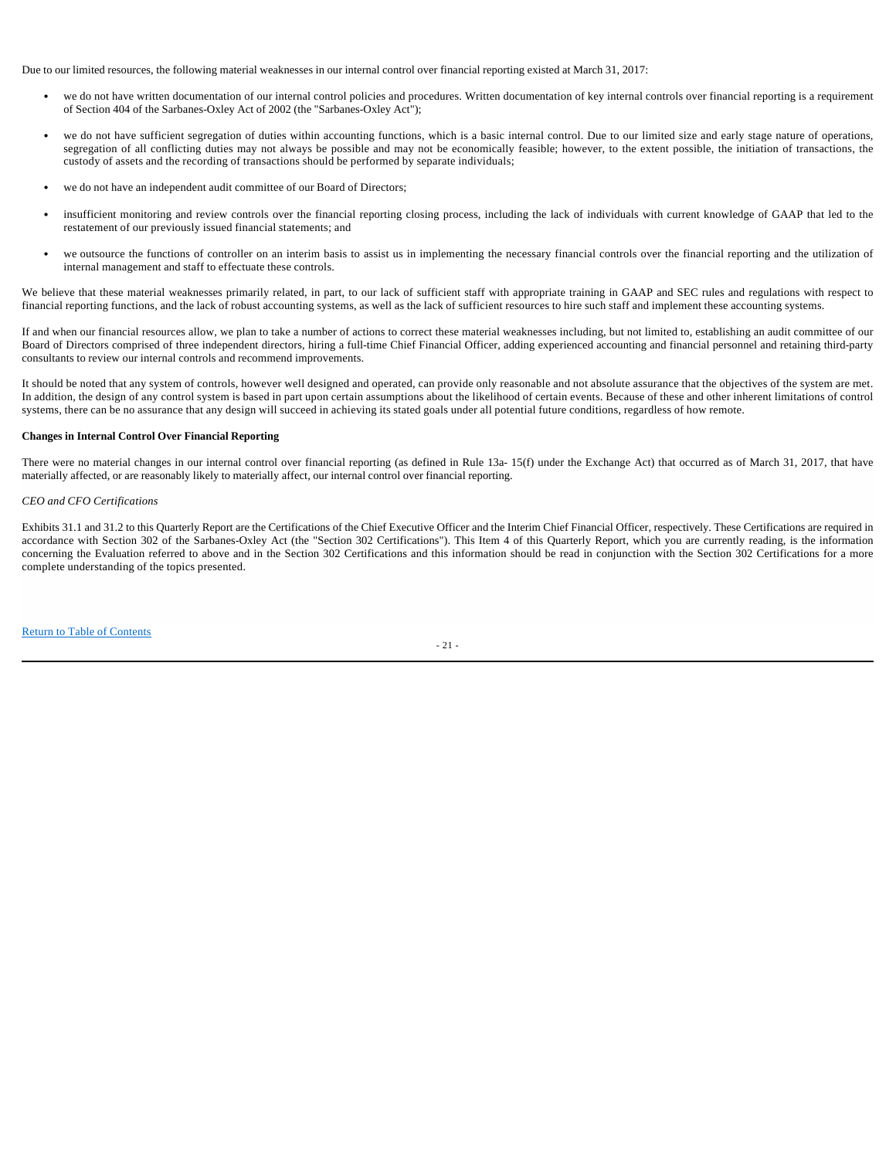Due to our limited resources, the following material weaknesses in our internal control over financial reporting existed at March 31, 2017:

we do not have written documentation of our internal control policies and procedures. Written documentation of key internal controls over financial reporting is a requirement of Section 404 of the Sarbanes-Oxley Act of 2002 (the "Sarbanes-Oxley Act");

we do not have sufficient segregation of duties within accounting functions, which is a basic internal control. Due to our limited size and early stage nature of operations, segregation of all conflicting duties may not always be possible and may not be economically feasible; however, to the extent possible, the initiation of transactions, the custody of assets and the recording of transactions should be performed by separate individuals;

we do not have an independent audit committee of our Board of Directors;

insufficient monitoring and review controls over the financial reporting closing process, including the lack of individuals with current knowledge of GAAP that led to the restatement of our previously issued financial statements; and

we outsource the functions of controller on an interim basis to assist us in implementing the necessary financial controls over the financial reporting and the utilization of internal management and staff to effectuate these controls.

We believe that these material weaknesses primarily related, in part, to our lack of sufficient staff with appropriate training in GAAP and SEC rules and regulations with respect to financial reporting functions, and the lack of robust accounting systems, as well as the lack of sufficient resources to hire such staff and implement these accounting systems.

If and when our financial resources allow, we plan to take a number of actions to correct these material weaknesses including, but not limited to, establishing an audit committee of our Board of Directors comprised of three independent directors, hiring a full-time Chief Financial Officer, adding experienced accounting and financial personnel and retaining third-party consultants to review our internal controls and recommend improvements.

It should be noted that any system of controls, however well designed and operated, can provide only reasonable and not absolute assurance that the objectives of the system are met. In addition, the design of any control system is based in part upon certain assumptions about the likelihood of certain events. Because of these and other inherent limitations of control systems, there can be no assurance that any design will succeed in achieving its stated goals under all potential future conditions, regardless of how remote.

# **Changes in Internal Control Over Financial Reporting**

There were no material changes in our internal control over financial reporting (as defined in Rule 13a-15(f) under the Exchange Act) that occurred as of March 31, 2017, that have materially affected, or are reasonably likely to materially affect, our internal control over financial reporting.

#### *CEO and CFO Certifications*

Exhibits 31.1 and 31.2 to this Quarterly Report are the Certifications of the Chief Executive Officer and the Interim Chief Financial Officer, respectively. These Certifications are required in accordance with Section 302 of the Sarbanes-Oxley Act (the "Section 302 Certifications"). This Item 4 of this Quarterly Report, which you are currently reading, is the information concerning the Evaluation referred to above and in the Section 302 Certifications and this information should be read in conjunction with the Section 302 Certifications for a more complete understanding of the topics presented.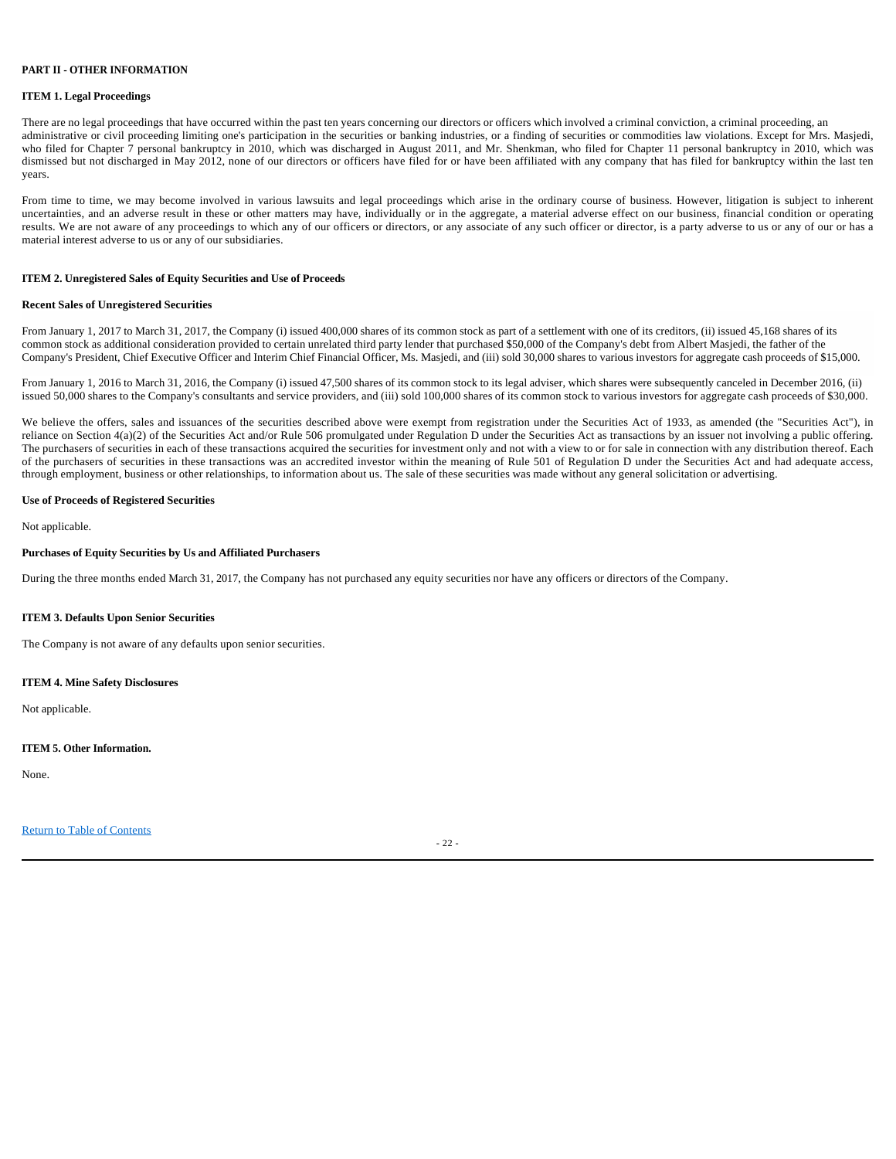## **PART II - OTHER INFORMATION**

# **ITEM 1. Legal Proceedings**

There are no legal proceedings that have occurred within the past ten years concerning our directors or officers which involved a criminal conviction, a criminal proceeding, an administrative or civil proceeding limiting one's participation in the securities or banking industries, or a finding of securities or commodities law violations. Except for Mrs. Masjedi, who filed for Chapter 7 personal bankruptcy in 2010, which was discharged in August 2011, and Mr. Shenkman, who filed for Chapter 11 personal bankruptcy in 2010, which was dismissed but not discharged in May 2012, none of our directors or officers have filed for or have been affiliated with any company that has filed for bankruptcy within the last ten years.

From time to time, we may become involved in various lawsuits and legal proceedings which arise in the ordinary course of business. However, litigation is subject to inherent uncertainties, and an adverse result in these or other matters may have, individually or in the aggregate, a material adverse effect on our business, financial condition or operating results. We are not aware of any proceedings to which any of our officers or directors, or any associate of any such officer or director, is a party adverse to us or any of our or has a material interest adverse to us or any of our subsidiaries.

## **ITEM 2. Unregistered Sales of Equity Securities and Use of Proceeds**

## **Recent Sales of Unregistered Securities**

From January 1, 2017 to March 31, 2017, the Company (i) issued 400,000 shares of its common stock as part of a settlement with one of its creditors, (ii) issued 45,168 shares of its common stock as additional consideration provided to certain unrelated third party lender that purchased \$50,000 of the Company's debt from Albert Masjedi, the father of the Company's President, Chief Executive Officer and Interim Chief Financial Officer, Ms. Masjedi, and (iii) sold 30,000 shares to various investors for aggregate cash proceeds of \$15,000.

From January 1, 2016 to March 31, 2016, the Company (i) issued 47,500 shares of its common stock to its legal adviser, which shares were subsequently canceled in December 2016, (ii) issued 50,000 shares to the Company's consultants and service providers, and (iii) sold 100,000 shares of its common stock to various investors for aggregate cash proceeds of \$30,000.

We believe the offers, sales and issuances of the securities described above were exempt from registration under the Securities Act of 1933, as amended (the "Securities Act"), in reliance on Section 4(a)(2) of the Securities Act and/or Rule 506 promulgated under Regulation D under the Securities Act as transactions by an issuer not involving a public offering. The purchasers of securities in each of these transactions acquired the securities for investment only and not with a view to or for sale in connection with any distribution thereof. Each of the purchasers of securities in these transactions was an accredited investor within the meaning of Rule 501 of Regulation D under the Securities Act and had adequate access, through employment, business or other relationships, to information about us. The sale of these securities was made without any general solicitation or advertising.

#### **Use of Proceeds of Registered Securities**

Not applicable.

# **Purchases of Equity Securities by Us and Affiliated Purchasers**

During the three months ended March 31, 2017, the Company has not purchased any equity securities nor have any officers or directors of the Company.

## **ITEM 3. Defaults Upon Senior Securities**

The Company is not aware of any defaults upon senior securities.

## **ITEM 4. Mine Safety Disclosures**

Not applicable.

#### **ITEM 5. Other Information.**

None.

- 22 -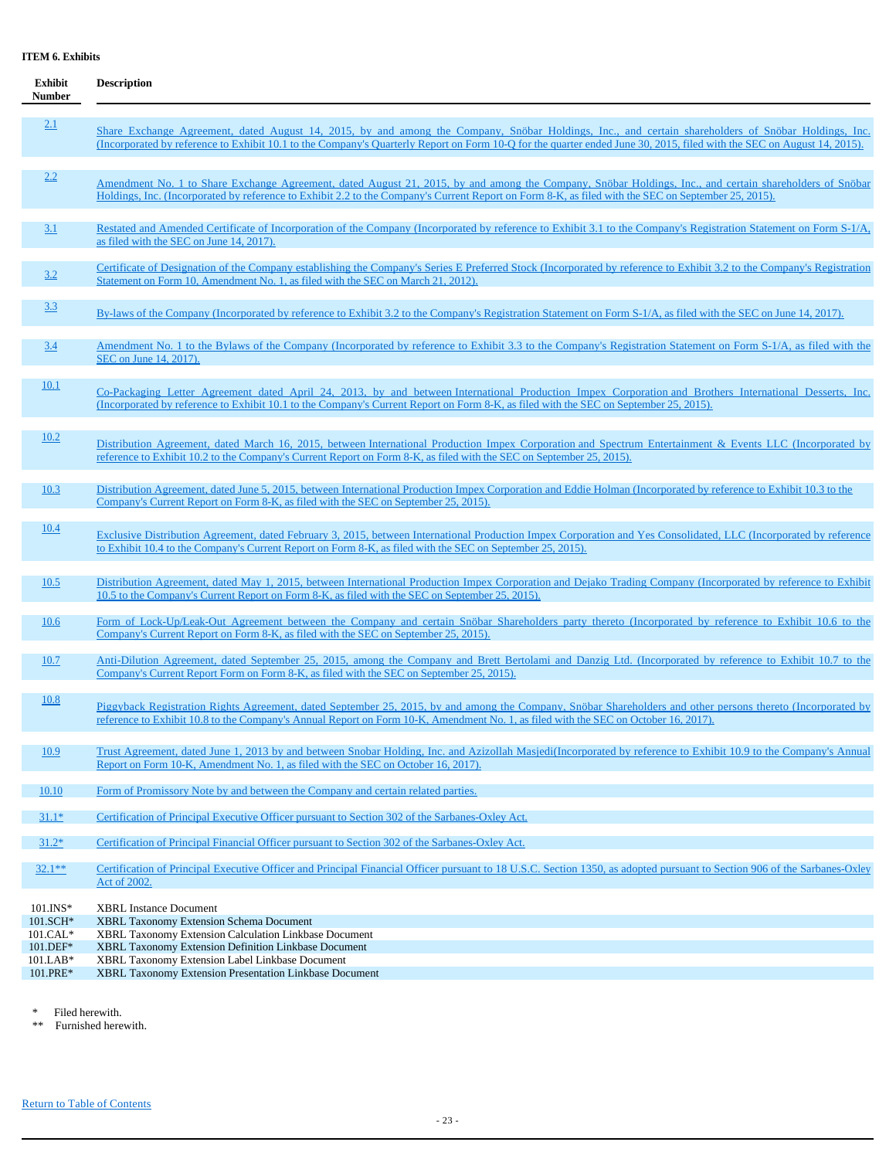# **ITEM 6. Exhibits**

| <b>Exhibit</b><br>Number                                                 | <b>Description</b>                                                                                                                                                                                                                                                                                                            |
|--------------------------------------------------------------------------|-------------------------------------------------------------------------------------------------------------------------------------------------------------------------------------------------------------------------------------------------------------------------------------------------------------------------------|
| 2.1                                                                      | Share Exchange Agreement, dated August 14, 2015, by and among the Company, Snöbar Holdings, Inc., and certain shareholders of Snöbar Holdings, Inc.<br>(Incorporated by reference to Exhibit 10.1 to the Company's Quarterly Report on Form 10-Q for the quarter ended June 30, 2015, filed with the SEC on August 14, 2015). |
| 2.2                                                                      | Amendment No. 1 to Share Exchange Agreement, dated August 21, 2015, by and among the Company, Snöbar Holdings, Inc., and certain shareholders of Snöbar<br>Holdings, Inc. (Incorporated by reference to Exhibit 2.2 to the Company's Current Report on Form 8-K, as filed with the SEC on September 25, 2015).                |
| 3.1                                                                      | Restated and Amended Certificate of Incorporation of the Company (Incorporated by reference to Exhibit 3.1 to the Company's Registration Statement on Form S-1/A.<br>as filed with the SEC on June 14, 2017).                                                                                                                 |
| 3.2                                                                      | Certificate of Designation of the Company establishing the Company's Series E Preferred Stock (Incorporated by reference to Exhibit 3.2 to the Company's Registration<br>Statement on Form 10, Amendment No. 1, as filed with the SEC on March 21, 2012).                                                                     |
| 3.3                                                                      | By-laws of the Company (Incorporated by reference to Exhibit 3.2 to the Company's Registration Statement on Form S-1/A, as filed with the SEC on June 14, 2017).                                                                                                                                                              |
| 3.4                                                                      | Amendment No. 1 to the Bylaws of the Company (Incorporated by reference to Exhibit 3.3 to the Company's Registration Statement on Form S-1/A, as filed with the<br>SEC on June 14, 2017).                                                                                                                                     |
| 10.1                                                                     | Co-Packaging Letter Agreement dated April 24, 2013, by and between International Production Impex Corporation and Brothers International Desserts, Inc.<br>(Incorporated by reference to Exhibit 10.1 to the Company's Current Report on Form 8-K, as filed with the SEC on September 25, 2015).                              |
| 10.2                                                                     | Distribution Agreement, dated March 16, 2015, between International Production Impex Corporation and Spectrum Entertainment & Events LLC (Incorporated by<br>reference to Exhibit 10.2 to the Company's Current Report on Form 8-K, as filed with the SEC on September 25, 2015).                                             |
| 10.3                                                                     | Distribution Agreement, dated June 5, 2015, between International Production Impex Corporation and Eddie Holman (Incorporated by reference to Exhibit 10.3 to the<br>Company's Current Report on Form 8-K, as filed with the SEC on September 25, 2015).                                                                      |
| 10.4                                                                     | Exclusive Distribution Agreement, dated February 3, 2015, between International Production Impex Corporation and Yes Consolidated, LLC (Incorporated by reference<br>to Exhibit 10.4 to the Company's Current Report on Form 8-K, as filed with the SEC on September 25, 2015).                                               |
| 10.5                                                                     | Distribution Agreement, dated May 1, 2015, between International Production Impex Corporation and Dejako Trading Company (Incorporated by reference to Exhibit<br>10.5 to the Company's Current Report on Form 8-K, as filed with the SEC on September 25, 2015).                                                             |
| 10.6                                                                     | Form of Lock-Up/Leak-Out Agreement between the Company and certain Snöbar Shareholders party thereto (Incorporated by reference to Exhibit 10.6 to the<br>Company's Current Report on Form 8-K, as filed with the SEC on September 25, 2015).                                                                                 |
| 10.7                                                                     | Anti-Dilution Agreement, dated September 25, 2015, among the Company and Brett Bertolami and Danzig Ltd. (Incorporated by reference to Exhibit 10.7 to the<br>Company's Current Report Form on Form 8-K, as filed with the SEC on September 25, 2015).                                                                        |
| 10.8                                                                     | Piggyback Registration Rights Agreement, dated September 25, 2015, by and among the Company, Snöbar Shareholders and other persons thereto (Incorporated by<br>reference to Exhibit 10.8 to the Company's Annual Report on Form 10-K, Amendment No. 1, as filed with the SEC on October 16, 2017).                            |
| 10.9                                                                     | Trust Agreement, dated June 1, 2013 by and between Snobar Holding, Inc. and Azizollah Masjedi(Incorporated by reference to Exhibit 10.9 to the Company's Annual<br>Report on Form 10-K, Amendment No. 1, as filed with the SEC on October 16, 2017).                                                                          |
| 10.10                                                                    | Form of Promissory Note by and between the Company and certain related parties.                                                                                                                                                                                                                                               |
| $31.1*$                                                                  | Certification of Principal Executive Officer pursuant to Section 302 of the Sarbanes-Oxley Act.                                                                                                                                                                                                                               |
| $31.2*$                                                                  | Certification of Principal Financial Officer pursuant to Section 302 of the Sarbanes-Oxley Act.                                                                                                                                                                                                                               |
| $32.1**$                                                                 | Certification of Principal Executive Officer and Principal Financial Officer pursuant to 18 U.S.C. Section 1350, as adopted pursuant to Section 906 of the Sarbanes-Oxley<br>Act of 2002.                                                                                                                                     |
| 101.INS*<br>101.SCH*<br>$101.CAL*$<br>101.DEF*<br>$101.LAB*$<br>101.PRE* | <b>XBRL Instance Document</b><br><b>XBRL Taxonomy Extension Schema Document</b><br><b>XBRL Taxonomy Extension Calculation Linkbase Document</b><br><b>XBRL Taxonomy Extension Definition Linkbase Document</b><br>XBRL Taxonomy Extension Label Linkbase Document<br>XBRL Taxonomy Extension Presentation Linkbase Document   |

\* Filed herewith.

\*\* Furnished herewith.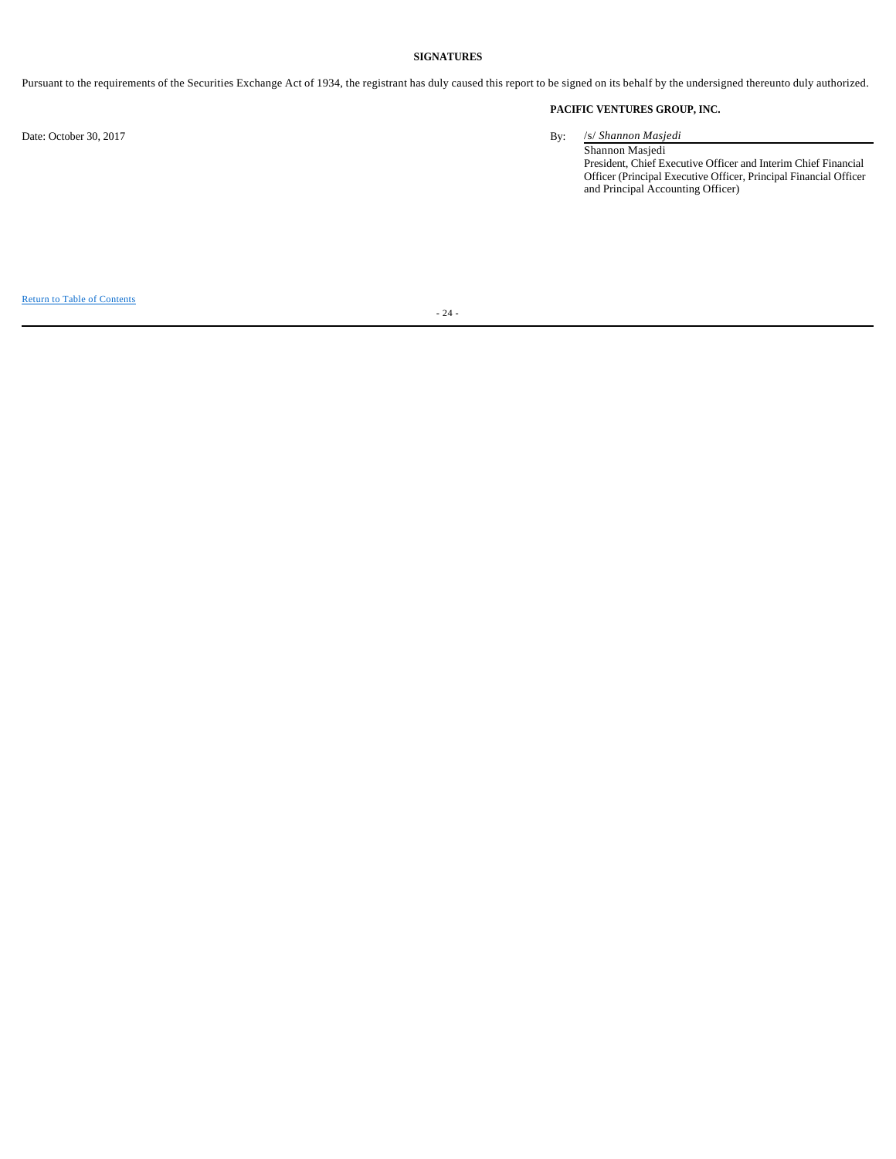# **SIGNATURES**

Pursuant to the requirements of the Securities Exchange Act of 1934, the registrant has duly caused this report to be signed on its behalf by the undersigned thereunto duly authorized.

# **PACIFIC VENTURES GROUP, INC.**

Date: October 30, 2017 **By:** *S/Shannon Masjedi* **By:** *S/Shannon Masjedi* 

Shannon Masjedi President, Chief Executive Officer and Interim Chief Financial Officer (Principal Executive Officer, Principal Financial Officer and Principal Accounting Officer)

Return to Table of Contents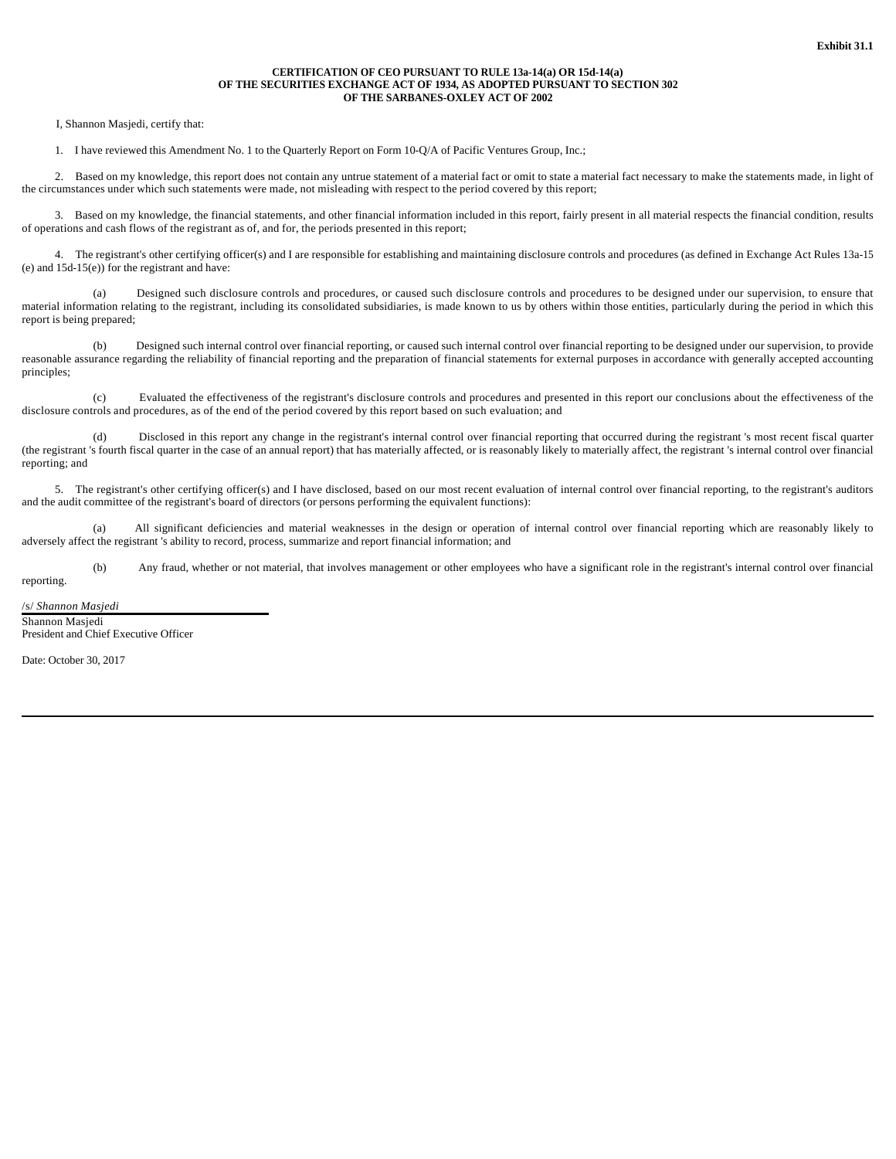# **CERTIFICATION OF CEO PURSUANT TO RULE 13a-14(a) OR 15d-14(a) OF THE SECURITIES EXCHANGE ACT OF 1934, AS ADOPTED PURSUANT TO SECTION 302 OF THE SARBANES-OXLEY ACT OF 2002**

I, Shannon Masjedi, certify that:

1. I have reviewed this Amendment No. 1 to the Quarterly Report on Form 10-Q/A of Pacific Ventures Group, Inc.;

2. Based on my knowledge, this report does not contain any untrue statement of a material fact or omit to state a material fact necessary to make the statements made, in light of the circumstances under which such statements were made, not misleading with respect to the period covered by this report;

3. Based on my knowledge, the financial statements, and other financial information included in this report, fairly present in all material respects the financial condition, results of operations and cash flows of the registrant as of, and for, the periods presented in this report;

4. The registrant's other certifying officer(s) and I are responsible for establishing and maintaining disclosure controls and procedures (as defined in Exchange Act Rules 13a-15 (e) and 15d-15(e)) for the registrant and have:

(a) Designed such disclosure controls and procedures, or caused such disclosure controls and procedures to be designed under our supervision, to ensure that material information relating to the registrant, including its consolidated subsidiaries, is made known to us by others within those entities, particularly during the period in which this report is being prepared;

(b) Designed such internal control over financial reporting, or caused such internal control over financial reporting to be designed under our supervision, to provide reasonable assurance regarding the reliability of financial reporting and the preparation of financial statements for external purposes in accordance with generally accepted accounting principles;

(c) Evaluated the effectiveness of the registrant's disclosure controls and procedures and presented in this report our conclusions about the effectiveness of the disclosure controls and procedures, as of the end of the period covered by this report based on such evaluation; and

(d) Disclosed in this report any change in the registrant's internal control over financial reporting that occurred during the registrant 's most recent fiscal quarter (the registrant 's fourth fiscal quarter in the case of an annual report) that has materially affected, or is reasonably likely to materially affect, the registrant 's internal control over financial reporting; and

5. The registrant's other certifying officer(s) and I have disclosed, based on our most recent evaluation of internal control over financial reporting, to the registrant's auditors and the audit committee of the registrant's board of directors (or persons performing the equivalent functions):

(a) All significant deficiencies and material weaknesses in the design or operation of internal control over financial reporting which are reasonably likely to adversely affect the registrant 's ability to record, process, summarize and report financial information; and

(b) Any fraud, whether or not material, that involves management or other employees who have a significant role in the registrant's internal control over financial reporting.

/s/ *Shannon Masjedi*

Shannon Masjedi President and Chief Executive Officer

Date: October 30, 2017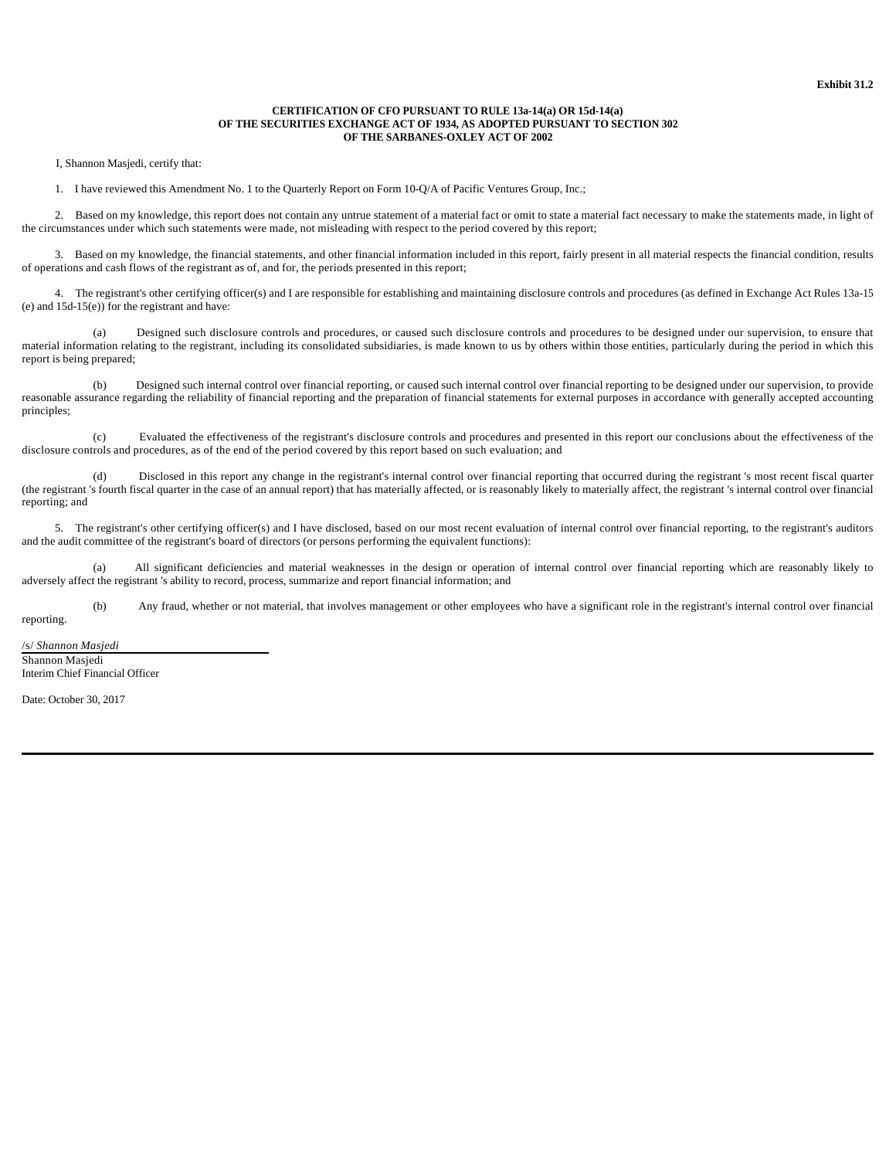#### **CERTIFICATION OF CFO PURSUANT TO RULE 13a-14(a) OR 15d-14(a) OF THE SECURITIES EXCHANGE ACT OF 1934, AS ADOPTED PURSUANT TO SECTION 302 OF THE SARBANES-OXLEY ACT OF 2002**

I, Shannon Masjedi, certify that:

1. I have reviewed this Amendment No. 1 to the Quarterly Report on Form 10-Q/A of Pacific Ventures Group, Inc.;

2. Based on my knowledge, this report does not contain any untrue statement of a material fact or omit to state a material fact necessary to make the statements made, in light of the circumstances under which such statements were made, not misleading with respect to the period covered by this report;

3. Based on my knowledge, the financial statements, and other financial information included in this report, fairly present in all material respects the financial condition, results of operations and cash flows of the registrant as of, and for, the periods presented in this report;

4. The registrant's other certifying officer(s) and I are responsible for establishing and maintaining disclosure controls and procedures (as defined in Exchange Act Rules 13a-15 (e) and 15d-15(e)) for the registrant and have:

(a) Designed such disclosure controls and procedures, or caused such disclosure controls and procedures to be designed under our supervision, to ensure that material information relating to the registrant, including its consolidated subsidiaries, is made known to us by others within those entities, particularly during the period in which this report is being prepared;

(b) Designed such internal control over financial reporting, or caused such internal control over financial reporting to be designed under our supervision, to provide reasonable assurance regarding the reliability of financial reporting and the preparation of financial statements for external purposes in accordance with generally accepted accounting principles;

(c) Evaluated the effectiveness of the registrant's disclosure controls and procedures and presented in this report our conclusions about the effectiveness of the disclosure controls and procedures, as of the end of the period covered by this report based on such evaluation; and

(d) Disclosed in this report any change in the registrant's internal control over financial reporting that occurred during the registrant 's most recent fiscal quarter (the registrant 's fourth fiscal quarter in the case of an annual report) that has materially affected, or is reasonably likely to materially affect, the registrant 's internal control over financial reporting; and

5. The registrant's other certifying officer(s) and I have disclosed, based on our most recent evaluation of internal control over financial reporting, to the registrant's auditors and the audit committee of the registrant's board of directors (or persons performing the equivalent functions):

(a) All significant deficiencies and material weaknesses in the design or operation of internal control over financial reporting which are reasonably likely to adversely affect the registrant 's ability to record, process, summarize and report financial information; and

(b) Any fraud, whether or not material, that involves management or other employees who have a significant role in the registrant's internal control over financial reporting.

/s/ *Shannon Masjedi*

Shannon Masjedi Interim Chief Financial Officer

Date: October 30, 2017